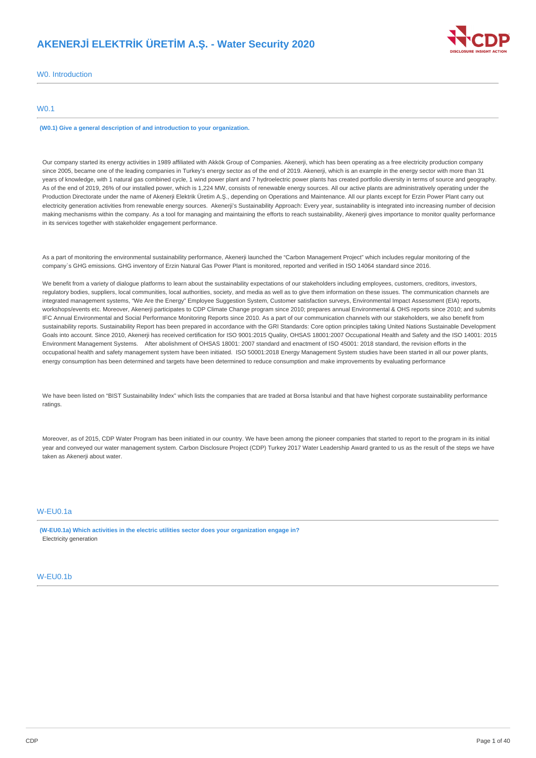# **AKENERJİ ELEKTRİK ÜRETİM A.Ş. - Water Security 2020**



W0. Introduction

# W0.1

**(W0.1) Give a general description of and introduction to your organization.**

Our company started its energy activities in 1989 affiliated with Akkök Group of Companies. Akenerji, which has been operating as a free electricity production company since 2005, became one of the leading companies in Turkey's energy sector as of the end of 2019. Akenerji, which is an example in the energy sector with more than 31 years of knowledge, with 1 natural gas combined cycle, 1 wind power plant and 7 hydroelectric power plants has created portfolio diversity in terms of source and geography. As of the end of 2019, 26% of our installed power, which is 1,224 MW, consists of renewable energy sources. All our active plants are administratively operating under the Production Directorate under the name of Akenerji Elektrik Üretim A.Ş., depending on Operations and Maintenance. All our plants except for Erzin Power Plant carry out electricity generation activities from renewable energy sources. Akenerji's Sustainability Approach: Every year, sustainability is integrated into increasing number of decision making mechanisms within the company. As a tool for managing and maintaining the efforts to reach sustainability, Akenerji gives importance to monitor quality performance in its services together with stakeholder engagement performance.

As a part of monitoring the environmental sustainability performance, Akenerji launched the "Carbon Management Project" which includes regular monitoring of the company`s GHG emissions. GHG inventory of Erzin Natural Gas Power Plant is monitored, reported and verified in ISO 14064 standard since 2016.

We benefit from a variety of dialogue platforms to learn about the sustainability expectations of our stakeholders including employees, customers, creditors, investors, regulatory bodies, suppliers, local communities, local authorities, society, and media as well as to give them information on these issues. The communication channels are integrated management systems, "We Are the Energy" Employee Suggestion System, Customer satisfaction surveys, Environmental Impact Assessment (EIA) reports, workshops/events etc. Moreover, Akenerji participates to CDP Climate Change program since 2010; prepares annual Environmental & OHS reports since 2010; and submits IFC Annual Environmental and Social Performance Monitoring Reports since 2010. As a part of our communication channels with our stakeholders, we also benefit from sustainability reports. Sustainability Report has been prepared in accordance with the GRI Standards: Core option principles taking United Nations Sustainable Development Goals into account. Since 2010, Akenerji has received certification for ISO 9001:2015 Quality, OHSAS 18001:2007 Occupational Health and Safety and the ISO 14001: 2015 Environment Management Systems. After abolishment of OHSAS 18001: 2007 standard and enactment of ISO 45001: 2018 standard, the revision efforts in the occupational health and safety management system have been initiated. ISO 50001:2018 Energy Management System studies have been started in all our power plants, energy consumption has been determined and targets have been determined to reduce consumption and make improvements by evaluating performance

We have been listed on "BIST Sustainability Index" which lists the companies that are traded at Borsa İstanbul and that have highest corporate sustainability performance ratings.

Moreover, as of 2015, CDP Water Program has been initiated in our country. We have been among the pioneer companies that started to report to the program in its initial year and conveyed our water management system. Carbon Disclosure Project (CDP) Turkey 2017 Water Leadership Award granted to us as the result of the steps we have taken as Akenerji about water.

# W-EU0.1a

**(W-EU0.1a) Which activities in the electric utilities sector does your organization engage in?** Electricity generation

# W-EU0.1b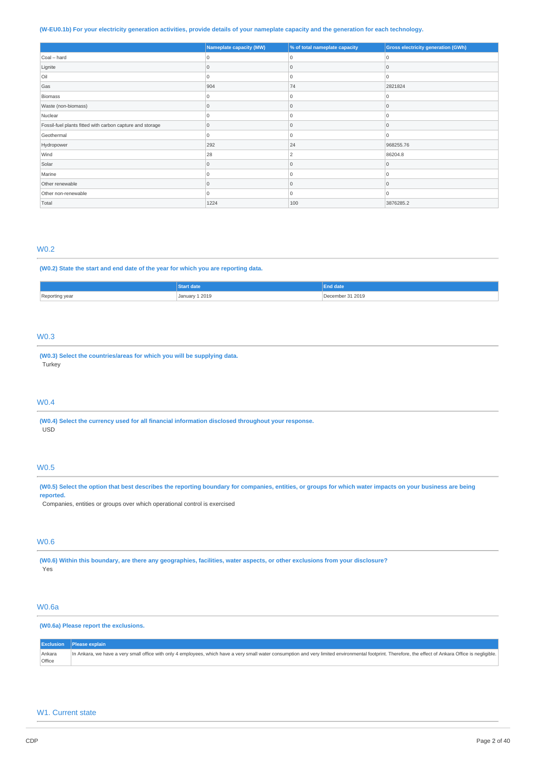# (W-EU0.1b) For your electricity generation activities, provide details of your nameplate capacity and the generation for each technology.

|                                                           | Nameplate capacity (MW) | % of total nameplate capacity | <b>Gross electricity generation (GWh)</b> |
|-----------------------------------------------------------|-------------------------|-------------------------------|-------------------------------------------|
| Coal - hard                                               |                         |                               | $\left($                                  |
| Lignite                                                   |                         |                               | $\Omega$                                  |
| Oil                                                       |                         |                               | $\Omega$                                  |
| Gas                                                       | 904                     | 74                            | 2821824                                   |
| Biomass                                                   |                         |                               |                                           |
| Waste (non-biomass)                                       |                         |                               | $\Omega$                                  |
| Nuclear                                                   |                         |                               | O                                         |
| Fossil-fuel plants fitted with carbon capture and storage | 0                       | $\Omega$                      | $\Omega$                                  |
| Geothermal                                                |                         |                               | $\Omega$                                  |
| Hydropower                                                | 292                     | 24                            | 968255.76                                 |
| Wind                                                      | 28                      |                               | 86204.8                                   |
| Solar                                                     |                         |                               | $\Omega$                                  |
| Marine                                                    |                         |                               | n                                         |
| Other renewable                                           | $\Omega$                | $\Omega$                      | $\Omega$                                  |
| Other non-renewable                                       |                         |                               | $\Omega$                                  |
| Total                                                     | 1224                    | 100                           | 3876285.2                                 |

# W0.2

#### **(W0.2) State the start and end date of the year for which you are reporting data.**

|                | k date z            | End date⊿          |
|----------------|---------------------|--------------------|
| Reporting year | ⊥ 2019<br>January 1 | 31 2019<br>emher i |

# W0.3

**(W0.3) Select the countries/areas for which you will be supplying data.** Turkey

# W0.4

**(W0.4) Select the currency used for all financial information disclosed throughout your response.** USD

# W0.5

(W0.5) Select the option that best describes the reporting boundary for companies, entities, or groups for which water impacts on your business are being **reported.**

Companies, entities or groups over which operational control is exercised

# W0.6

(W0.6) Within this boundary, are there any geographies, facilities, water aspects, or other exclusions from your disclosure? Yes

# W0.6a

### **(W0.6a) Please report the exclusions.**

|        | Exclusion   Please explain                                                                                                                                                                              |
|--------|---------------------------------------------------------------------------------------------------------------------------------------------------------------------------------------------------------|
| Ankara | In Ankara, we have a very small office with only 4 employees, which have a very small water consumption and very limited environmental footprint. Therefore, the effect of Ankara Office is negligible. |
| Office |                                                                                                                                                                                                         |

# W1. Current state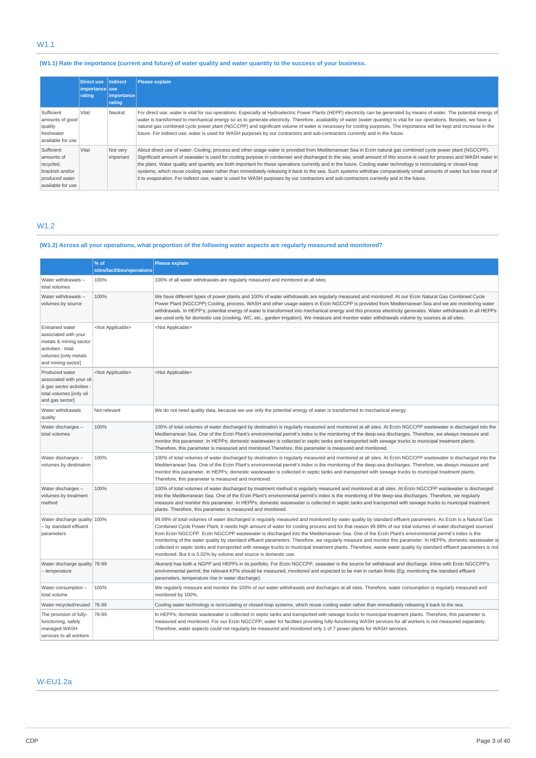# (W1.1) Rate the importance (current and future) of water quality and water quantity to the success of your business.

|                                                                                                 | Direct use Indirect<br>importance use<br>rating | importance<br>rating  | <b>Please explain</b>                                                                                                                                                                                                                                                                                                                                                                                                                                                                                                                                                                                                                                                                                                                                                                                                             |
|-------------------------------------------------------------------------------------------------|-------------------------------------------------|-----------------------|-----------------------------------------------------------------------------------------------------------------------------------------------------------------------------------------------------------------------------------------------------------------------------------------------------------------------------------------------------------------------------------------------------------------------------------------------------------------------------------------------------------------------------------------------------------------------------------------------------------------------------------------------------------------------------------------------------------------------------------------------------------------------------------------------------------------------------------|
| Sufficient<br>amounts of good<br>quality<br>freshwater<br>available for use                     | Vital                                           | Neutral               | For direct use; water is vital for our operations. Especially at Hydroelectric Power Plants (HEPP) electricity can be generated by means of water. The potential energy of<br>water is transformed to mechanical energy so as to generate electricity. Therefore, availability of water (water quantity) is vital for our operations. Besides; we have a<br>natural gas combined cycle power plant (NGCCPP) and significant volume of water is necessary for cooling purposes. The importance will be kept and increase in the<br>future. For indirect use; water is used for WASH purposes by our contractors and sub-contractors currently and in the future.                                                                                                                                                                   |
| Sufficient<br>amounts of<br>recycled,<br>brackish and/or<br>produced water<br>available for use | Vital                                           | Not very<br>important | About direct use of water: Cooling, process and other usage water is provided from Mediterranean Sea in Erzin natural gas combined cycle power plant (NGCCPP).<br>Significant amount of seawater is used for cooling purpose in condenser and discharged to the sea; small amount of this source is used for process and WASH water in<br>the plant. Water quality and quantity are both important for these operations currently and in the future. Cooling water technology is recirculating or closed-loop<br>systems, which reuse cooling water rather than immediately releasing it back to the sea. Such systems withdraw comparatively small amounts of water but lose most of<br>it to evaporation. For indirect use; water is used for WASH purposes by our contractors and sub-contractors currently and in the future. |

# W1.2

# (W1.2) Across all your operations, what proportion of the following water aspects are regularly measured and monitored?

|                                                                                                                                              | % of                        | <b>Please explain</b>                                                                                                                                                                                                                                                                                                                                                                                                                                                                                                                                                                                                                                                                                                                                                                                                                                                                   |
|----------------------------------------------------------------------------------------------------------------------------------------------|-----------------------------|-----------------------------------------------------------------------------------------------------------------------------------------------------------------------------------------------------------------------------------------------------------------------------------------------------------------------------------------------------------------------------------------------------------------------------------------------------------------------------------------------------------------------------------------------------------------------------------------------------------------------------------------------------------------------------------------------------------------------------------------------------------------------------------------------------------------------------------------------------------------------------------------|
|                                                                                                                                              | sites/facilities/operations |                                                                                                                                                                                                                                                                                                                                                                                                                                                                                                                                                                                                                                                                                                                                                                                                                                                                                         |
| Water withdrawals -<br>total volumes                                                                                                         | 100%                        | 100% of all water withdrawals are regularly measured and monitored at all sites.                                                                                                                                                                                                                                                                                                                                                                                                                                                                                                                                                                                                                                                                                                                                                                                                        |
| Water withdrawals-<br>volumes by source                                                                                                      | 100%                        | We have different types of power plants and 100% of water withdrawals are regularly measured and monitored: At our Erzin Natural Gas Combined Cycle<br>Power Plant (NGCCPP) Cooling, process, WASH and other usage waters in Erzin NGCCPP is provided from Mediterranean Sea and we are monitoring water<br>withdrawals. In HEPP's; potential energy of water is transformed into mechanical energy and this process electricity generates. Water withdrawals in all HEPPs<br>are used only for domestic use (cooking, WC, etc., garden irrigation). We measure and monitor water withdrawals volume by sources at all sites.                                                                                                                                                                                                                                                           |
| <b>Entrained water</b><br>associated with your<br>metals & mining sector<br>activities - total<br>volumes [only metals<br>and mining sector] | <not applicable=""></not>   | <not applicable=""></not>                                                                                                                                                                                                                                                                                                                                                                                                                                                                                                                                                                                                                                                                                                                                                                                                                                                               |
| Produced water<br>associated with your oil<br>& gas sector activities<br>total volumes [only oil<br>and gas sector]                          | <not applicable=""></not>   | <not applicable=""></not>                                                                                                                                                                                                                                                                                                                                                                                                                                                                                                                                                                                                                                                                                                                                                                                                                                                               |
| Water withdrawals<br>quality                                                                                                                 | Not relevant                | We do not need quality data, because we use only the potential energy of water is transformed to mechanical energy.                                                                                                                                                                                                                                                                                                                                                                                                                                                                                                                                                                                                                                                                                                                                                                     |
| Water discharges -<br>total volumes                                                                                                          | 100%                        | 100% of total volumes of water discharged by destination is regularly measured and monitored at all sites. At Erzin NGCCPP wastewater is discharged into the<br>Mediterranean Sea. One of the Erzin Plant's environmental permit's index is the monitoring of the deep-sea discharges. Therefore, we always measure and<br>monitor this parameter. In HEPPs; domestic wastewater is collected in septic tanks and transported with sewage trucks to municipal treatment plants.<br>Therefore, this parameter is measured and monitored. Therefore, this parameter is measured and monitored.                                                                                                                                                                                                                                                                                            |
| Water discharges -<br>volumes by destination                                                                                                 | 100%                        | 100% of total volumes of water discharged by destination is regularly measured and monitored at all sites. At Erzin NGCCPP wastewater is discharged into the<br>Mediterranean Sea. One of the Erzin Plant's environmental permit's index is the monitoring of the deep-sea discharges. Therefore, we always measure and<br>monitor this parameter. In HEPPs; domestic wastewater is collected in septic tanks and transported with sewage trucks to municipal treatment plants.<br>Therefore, this parameter is measured and monitored.                                                                                                                                                                                                                                                                                                                                                 |
| Water discharges -<br>volumes by treatment<br>method                                                                                         | 100%                        | 100% of total volumes of water discharged by treatment method is regularly measured and monitored at all sites. At Erzin NGCCPP wastewater is discharged<br>into the Mediterranean Sea. One of the Erzin Plant's environmental permit's index is the monitoring of the deep-sea discharges. Therefore, we regularly<br>measure and monitor this parameter. In HEPPs; domestic wastewater is collected in septic tanks and transported with sewage trucks to municipal treatment<br>plants. Therefore, this parameter is measured and monitored.                                                                                                                                                                                                                                                                                                                                         |
| Water discharge quality 100%<br>- by standard effluent<br>parameters                                                                         |                             | 99.98% of total volumes of water discharged is regularly measured and monitored by water quality by standard effluent parameters. As Erzin is a Natural Gas<br>Combined Cycle Power Plant, it needs high amount of water for cooling process and for that reason 99.98% of our total volumes of water discharged sourced<br>from Erzin NGCCPP. Erzin NGCCPP wastewater is discharged into the Mediterranean Sea. One of the Erzin Plant's environmental permit's index is the<br>monitoring of the water quality by standard effluent parameters. Therefore, we regularly measure and monitor this parameter. In HEPPs; domestic wastewater is<br>collected in septic tanks and transported with sewage trucks to municipal treatment plants. Therefore, waste water quality by standard effluent parameters is not<br>monitored. But it is 0.02% by volume and source is domestic use. |
| Water discharge quality 76-99<br>- temperature                                                                                               |                             | Akenerji has both a NGPP and HEPPs in its portfolio. For Erzin NGCCPP, seawater is the source for withdrawal and discharge. Inline with Erzin NGCCPP's<br>environmental permit; the relevant KPIs should be measured, monitored and expected to be met in certain limits (Eg; monitoring the standard effluent<br>parameters, temperature rise in water discharge).                                                                                                                                                                                                                                                                                                                                                                                                                                                                                                                     |
| Water consumption -<br>total volume                                                                                                          | 100%                        | We regularly measure and monitor the 100% of our water withdrawals and discharges at all sites. Therefore, water consumption is regularly measured and<br>monitored by 100%.                                                                                                                                                                                                                                                                                                                                                                                                                                                                                                                                                                                                                                                                                                            |
| Water recycled/reused 76-99                                                                                                                  |                             | Cooling water technology is recirculating or closed-loop systems, which reuse cooling water rather than immediately releasing it back to the sea.                                                                                                                                                                                                                                                                                                                                                                                                                                                                                                                                                                                                                                                                                                                                       |
| The provision of fully-<br>functioning, safely<br>managed WASH<br>services to all workers                                                    | 76-99                       | In HEPPs; domestic wastewater is collected in septic tanks and transported with sewage trucks to municipal treatment plants. Therefore, this parameter is<br>measured and monitored. For our Erzin NGCCPP; water for facilities providing fully-functioning WASH services for all workers is not measured separately.<br>Therefore, water aspects could not regularly be measured and monitored only 1 of 7 power plants for WASH services.                                                                                                                                                                                                                                                                                                                                                                                                                                             |

# W-EU1.2a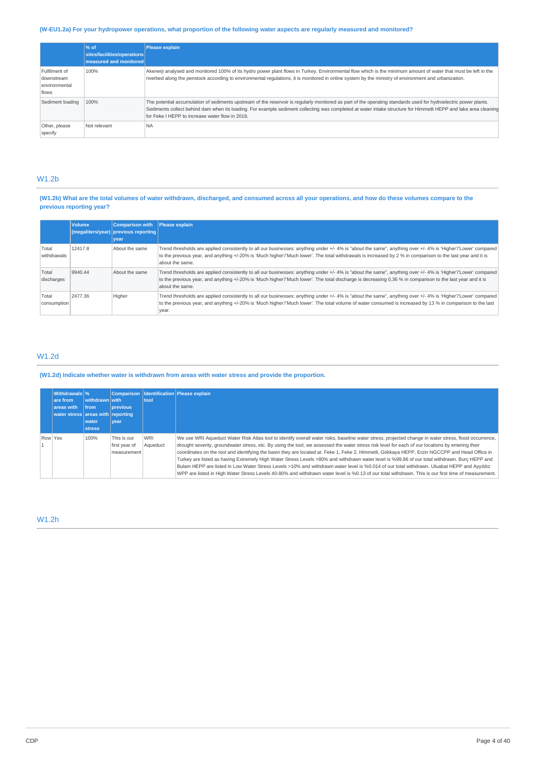# (W-EU1.2a) For your hydropower operations, what proportion of the following water aspects are regularly measured and monitored?

|                                                       | $\frac{96}{6}$ of<br>sites/facilities/operations<br>measured and monitored | <b>Please explain</b>                                                                                                                                                                                                                                                                                                                                                                  |
|-------------------------------------------------------|----------------------------------------------------------------------------|----------------------------------------------------------------------------------------------------------------------------------------------------------------------------------------------------------------------------------------------------------------------------------------------------------------------------------------------------------------------------------------|
| Fulfilment of<br>downstream<br>environmental<br>flows | 100%                                                                       | Akenerji analysed and monitored 100% of its hydro power plant flows in Turkey. Environmental flow which is the minimum amount of water that must be left in the<br>riverbed along the penstock according to environmental regulations, it is monitored in online system by the ministry of environment and urbanization.                                                               |
| Sediment loading                                      | 100%                                                                       | The potential accumulation of sediments upstream of the reservoir is regularly monitored as part of the operating standards used for hydroelectric power plants.<br>Sediments collect behind dam when its loading. For example sediment collecting was completed at water intake structure for Himmetli HEPP and lake area cleaning<br>for Feke I HEPP to increase water flow in 2018. |
| Other, please<br>specify                              | Not relevant                                                               | <b>NA</b>                                                                                                                                                                                                                                                                                                                                                                              |

# W1.2b

# (W1.2b) What are the total volumes of water withdrawn, discharged, and consumed across all your operations, and how do these volumes compare to the **previous reporting year?**

|                      | <b>Volume</b> | <b>Comparison with</b><br>(megaliters/year) previous reporting<br>vear | Please explain                                                                                                                                                                                                                                                                                                                                  |
|----------------------|---------------|------------------------------------------------------------------------|-------------------------------------------------------------------------------------------------------------------------------------------------------------------------------------------------------------------------------------------------------------------------------------------------------------------------------------------------|
| Total<br>withdrawals | 12417.8       | About the same                                                         | Trend thresholds are applied consistently to all our businesses: anything under +/- 4% is "about the same", anything over +/- 4% is 'Higher'/'Lower' compared<br>to the previous year, and anything +/-20% is 'Much higher'/'Much lower'. The total withdrawals is increased by 2 % in comparison to the last year and it is<br>about the same. |
| Total<br>discharges  | 9940.44       | About the same                                                         | Trend thresholds are applied consistently to all our businesses: anything under +/- 4% is "about the same", anything over +/- 4% is 'Higher'/'Lower' compared<br>to the previous year, and anything +/-20% is 'Much higher'/'Much lower'. The total discharge is decreasing 0,36 % in comparison to the last year and it is<br>about the same.  |
| Total<br>consumption | 2477.36       | Higher                                                                 | Trend thresholds are applied consistently to all our businesses: anything under +/-4% is "about the same", anything over +/-4% is 'Higher'/'Lower' compared<br>to the previous year, and anything +/-20% is 'Much higher'/'Much lower'. The total volume of water consumed is increased by 13 % in comparison to the last<br>year.              |

# W1.2d

# **(W1.2d) Indicate whether water is withdrawn from areas with water stress and provide the proportion.**

|         | <b>Withdrawals</b> %<br>are from<br>areas with<br>water stress areas with reporting | withdrawn with<br><b>from</b><br>water<br><b>stress</b> | <b>previous</b><br><b>vear</b>              | tool                   | Comparison   Identification   Please explain                                                                                                                                                                                                                                                                                                                                                                                                                                                                                                                                                                                                                                                                                                                                                                                                                                                                        |
|---------|-------------------------------------------------------------------------------------|---------------------------------------------------------|---------------------------------------------|------------------------|---------------------------------------------------------------------------------------------------------------------------------------------------------------------------------------------------------------------------------------------------------------------------------------------------------------------------------------------------------------------------------------------------------------------------------------------------------------------------------------------------------------------------------------------------------------------------------------------------------------------------------------------------------------------------------------------------------------------------------------------------------------------------------------------------------------------------------------------------------------------------------------------------------------------|
| Row Yes |                                                                                     | 100%                                                    | This is our<br>first year of<br>measurement | <b>WRI</b><br>Aqueduct | We use WRI Aqueduct Water Risk Atlas tool to identify overall water risks, baseline water stress, projected change in water stress, flood occurrence,<br>drought severity, groundwater stress, etc. By using the tool, we assessed the water stress risk level for each of our locations by entering their<br>coordinates on the tool and identifying the basin they are located at. Feke 1, Feke 2, Himmetli, Gökkaya HEPP, Erzin NGCCPP and Head Office in<br>Turkey are listed as having Extremely High Water Stress Levels >80% and withdrawn water level is %99.86 of our total withdrawn. Burc HEPP and<br>Bulam HEPP are listed in Low Water Stress Levels >10% and withdrawn water level is %0.014 of our total withdrawn. Uluabat HEPP and Ayyıldız<br>WPP are listed in High Water Stress Levels 40-80% and withdrawn water level is %0.13 of our total withdrawn. This is our first time of measurement. |

# W1.2h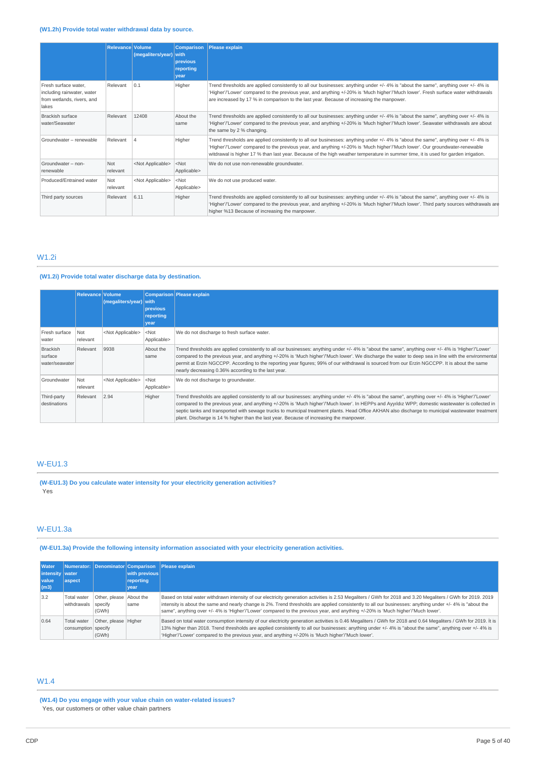# **(W1.2h) Provide total water withdrawal data by source.**

|                                                                                           | <b>Relevance Volume</b> | (megaliters/year) with    | <b>Comparison</b><br>previous<br>reporting<br>vear | <b>Please explain</b>                                                                                                                                                                                                                                                                                                                                                                                     |
|-------------------------------------------------------------------------------------------|-------------------------|---------------------------|----------------------------------------------------|-----------------------------------------------------------------------------------------------------------------------------------------------------------------------------------------------------------------------------------------------------------------------------------------------------------------------------------------------------------------------------------------------------------|
| Fresh surface water.<br>including rainwater, water<br>from wetlands, rivers, and<br>lakes | Relevant                | 0.1                       | Higher                                             | Trend thresholds are applied consistently to all our businesses: anything under +/- 4% is "about the same", anything over +/- 4% is<br>'Higher'/'Lower' compared to the previous year, and anything +/-20% is 'Much higher'/'Much lower'. Fresh surface water withdrawals<br>are increased by 17 % in comparison to the last year. Because of increasing the manpower.                                    |
| <b>Brackish surface</b><br>water/Seawater                                                 | Relevant                | 12408                     | About the<br>same                                  | Trend thresholds are applied consistently to all our businesses: anything under +/- 4% is "about the same", anything over +/- 4% is<br>'Higher'/'Lower' compared to the previous year, and anything +/-20% is 'Much higher'/'Much lower'. Seawater withdrawals are about<br>the same by 2 % changing.                                                                                                     |
| Groundwater - renewable                                                                   | Relevant                | Δ                         | Higher                                             | Trend thresholds are applied consistently to all our businesses: anything under +/- 4% is "about the same", anything over +/- 4% is<br>'Higher'/'Lower' compared to the previous year, and anything +/-20% is 'Much higher'/'Much lower'. Our groundwater-renewable<br>witdrawal is higher 17 % than last year. Because of the high weather temperature in summer time, it is used for garden irrigation. |
| Groundwater - non-<br>renewable                                                           | Not<br>relevant         | <not applicable=""></not> | $<$ Not<br>Applicable>                             | We do not use non-renewable groundwater.                                                                                                                                                                                                                                                                                                                                                                  |
| Produced/Entrained water                                                                  | Not<br>relevant         | <not applicable=""></not> | $<$ Not<br>Applicable>                             | We do not use produced water.                                                                                                                                                                                                                                                                                                                                                                             |
| Third party sources                                                                       | Relevant                | 6.11                      | Higher                                             | Trend thresholds are applied consistently to all our businesses: anything under +/- 4% is "about the same", anything over +/- 4% is<br>'Higher'/'Lower' compared to the previous year, and anything +/-20% is 'Much higher'/'Much lower'. Third party sources withdrawals are<br>higher %13 Because of increasing the manpower.                                                                           |

# W1.2i

# **(W1.2i) Provide total water discharge data by destination.**

|                                              | Relevance Volume | (megaliters/year) with    | previous<br>reporting<br>year | Comparison Please explain                                                                                                                                                                                                                                                                                                                                                                                                                                                                                                                                |
|----------------------------------------------|------------------|---------------------------|-------------------------------|----------------------------------------------------------------------------------------------------------------------------------------------------------------------------------------------------------------------------------------------------------------------------------------------------------------------------------------------------------------------------------------------------------------------------------------------------------------------------------------------------------------------------------------------------------|
| Fresh surface<br>water                       | Not<br>relevant  | <not applicable=""></not> | $<$ Not<br>Applicable>        | We do not discharge to fresh surface water.                                                                                                                                                                                                                                                                                                                                                                                                                                                                                                              |
| <b>Brackish</b><br>surface<br>water/seawater | Relevant         | 9938                      | About the<br>same             | Trend thresholds are applied consistently to all our businesses: anything under +/- 4% is "about the same", anything over +/- 4% is 'Higher'/'Lower'<br>compared to the previous year, and anything +/-20% is 'Much higher'/'Much lower'. We discharge the water to deep sea in line with the environmental<br>permit at Erzin NGCCPP. According to the reporting year figures; 99% of our withdrawal is sourced from our Erzin NGCCPP. It is about the same<br>nearly decreasing 0.36% according to the last year.                                      |
| Groundwater                                  | Not<br>relevant  | <not applicable=""></not> | $<$ Not<br>Applicable>        | We do not discharge to groundwater.                                                                                                                                                                                                                                                                                                                                                                                                                                                                                                                      |
| Third-party<br>destinations                  | Relevant         | 2.94                      | Higher                        | Trend thresholds are applied consistently to all our businesses: anything under +/- 4% is "about the same", anything over +/- 4% is 'Higher'/'Lower'<br>compared to the previous year, and anything +/-20% is 'Much higher'/'Much lower'. In HEPPs and Ayyıldız WPP; domestic wastewater is collected in<br>septic tanks and transported with sewage trucks to municipal treatment plants. Head Office AKHAN also discharge to municipal wastewater treatment<br>plant. Discharge is 14 % higher than the last year. Because of increasing the manpower. |

# W-EU1.3

**(W-EU1.3) Do you calculate water intensity for your electricity generation activities?** Yes

# W-EU1.3a

# **(W-EU1.3a) Provide the following intensity information associated with your electricity generation activities.**

| <b>Water</b>      |                                    |                                             |               | Numerator: Denominator Comparison Please explain                                                                                                                                                                                                                                                                                                                                                                                                               |
|-------------------|------------------------------------|---------------------------------------------|---------------|----------------------------------------------------------------------------------------------------------------------------------------------------------------------------------------------------------------------------------------------------------------------------------------------------------------------------------------------------------------------------------------------------------------------------------------------------------------|
| intensity   water |                                    |                                             | with previous |                                                                                                                                                                                                                                                                                                                                                                                                                                                                |
| <b>Value</b>      | aspect                             |                                             | reporting     |                                                                                                                                                                                                                                                                                                                                                                                                                                                                |
| (m3)              |                                    |                                             | vear          |                                                                                                                                                                                                                                                                                                                                                                                                                                                                |
| 3.2               | Total water<br>withdrawals         | Other, please About the<br>specify<br>(GWh) | same          | Based on total water withdrawn intensity of our electricity generation activities is 2.53 Megaliters / GWh for 2018 and 3.20 Megaliters / GWh for 2019. 2019<br>intensity is about the same and nearly change is 2%. Trend thresholds are applied consistently to all our businesses: anything under +/- 4% is "about the<br>same", anything over +/- 4% is 'Higher'/'Lower' compared to the previous year, and anything +/-20% is 'Much higher'/'Much lower'. |
| 0.64              | Total water<br>consumption specify | Other, please Higher<br>(GWh)               |               | Based on total water consumption intensity of our electricity generation activities is 0.46 Megaliters / GWh for 2018 and 0.64 Megaliters / GWh for 2019. It is<br>13% higher than 2018. Trend thresholds are applied consistently to all our businesses: anything under +/- 4% is "about the same", anything over +/- 4% is<br>'Higher'/'Lower' compared to the previous year, and anything +/-20% is 'Much higher'/'Much lower'.                             |

# W1.4

**(W1.4) Do you engage with your value chain on water-related issues?** Yes, our customers or other value chain partners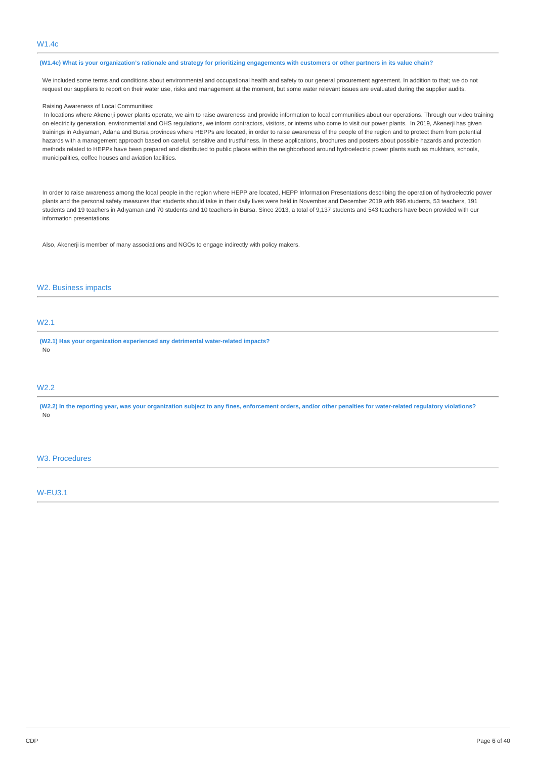# (W1.4c) What is your organization's rationale and strategy for prioritizing engagements with customers or other partners in its value chain?

We included some terms and conditions about environmental and occupational health and safety to our general procurement agreement. In addition to that; we do not request our suppliers to report on their water use, risks and management at the moment, but some water relevant issues are evaluated during the supplier audits.

### Raising Awareness of Local Communities:

In locations where Akenerji power plants operate, we aim to raise awareness and provide information to local communities about our operations. Through our video training on electricity generation, environmental and OHS regulations, we inform contractors, visitors, or interns who come to visit our power plants. In 2019, Akenerji has given trainings in Adıyaman, Adana and Bursa provinces where HEPPs are located, in order to raise awareness of the people of the region and to protect them from potential hazards with a management approach based on careful, sensitive and trustfulness. In these applications, brochures and posters about possible hazards and protection methods related to HEPPs have been prepared and distributed to public places within the neighborhood around hydroelectric power plants such as mukhtars, schools, municipalities, coffee houses and aviation facilities.

In order to raise awareness among the local people in the region where HEPP are located, HEPP Information Presentations describing the operation of hydroelectric power plants and the personal safety measures that students should take in their daily lives were held in November and December 2019 with 996 students, 53 teachers, 191 students and 19 teachers in Adıyaman and 70 students and 10 teachers in Bursa. Since 2013, a total of 9,137 students and 543 teachers have been provided with our information presentations.

Also, Akenerji is member of many associations and NGOs to engage indirectly with policy makers.

### W2. Business impacts

# W2.1

**(W2.1) Has your organization experienced any detrimental water-related impacts?** No

# W2.2

(W2.2) In the reporting year, was your organization subject to any fines, enforcement orders, and/or other penalties for water-related regulatory violations? No

# W3. Procedures

W-EU3.1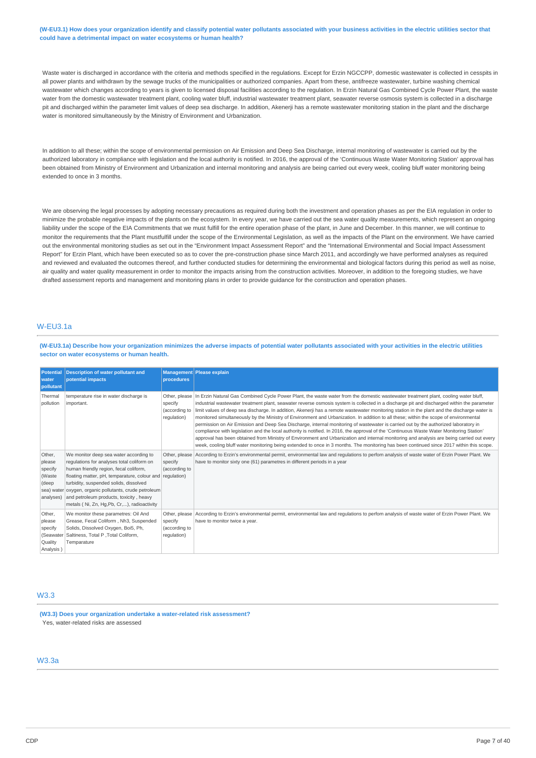#### (W-EU3.1) How does your organization identify and classify potential water pollutants associated with your business activities in the electric utilities sector that **could have a detrimental impact on water ecosystems or human health?**

Waste water is discharged in accordance with the criteria and methods specified in the regulations. Except for Erzin NGCCPP, domestic wastewater is collected in cesspits in all power plants and withdrawn by the sewage trucks of the municipalities or authorized companies. Apart from these, antifreeze wastewater, turbine washing chemical wastewater which changes according to years is given to licensed disposal facilities according to the regulation. In Erzin Natural Gas Combined Cycle Power Plant, the waste water from the domestic wastewater treatment plant, cooling water bluff, industrial wastewater treatment plant, seawater reverse osmosis system is collected in a discharge pit and discharged within the parameter limit values of deep sea discharge. In addition, Akenerii has a remote wastewater monitoring station in the plant and the discharge water is monitored simultaneously by the Ministry of Environment and Urbanization.

In addition to all these; within the scope of environmental permission on Air Emission and Deep Sea Discharge, internal monitoring of wastewater is carried out by the authorized laboratory in compliance with legislation and the local authority is notified. In 2016, the approval of the 'Continuous Waste Water Monitoring Station' approval has been obtained from Ministry of Environment and Urbanization and internal monitoring and analysis are being carried out every week, cooling bluff water monitoring being extended to once in 3 months.

We are observing the legal processes by adopting necessary precautions as required during both the investment and operation phases as per the EIA regulation in order to minimize the probable negative impacts of the plants on the ecosystem. In every year, we have carried out the sea water quality measurements, which represent an ongoing liability under the scope of the EIA Commitments that we must fulfill for the entire operation phase of the plant, in June and December. In this manner, we will continue to monitor the requirements that the Plant mustfulfill under the scope of the Environmental Legislation, as well as the impacts of the Plant on the environment. We have carried out the environmental monitoring studies as set out in the "Environment Impact Assessment Report" and the "International Environmental and Social Impact Assessment Report" for Erzin Plant, which have been executed so as to cover the pre-construction phase since March 2011, and accordingly we have performed analyses as required and reviewed and evaluated the outcomes thereof, and further conducted studies for determining the environmental and biological factors during this period as well as noise, air quality and water quality measurement in order to monitor the impacts arising from the construction activities. Moreover, in addition to the foregoing studies, we have drafted assessment reports and management and monitoring plans in order to provide guidance for the construction and operation phases.

# W-EU3.1a

(W-EU3.1a) Describe how your organization minimizes the adverse impacts of potential water pollutants associated with your activities in the electric utilities **sector on water ecosystems or human health.**

| <b>Potential</b><br>water<br>pollutant                                    | <b>Description of water pollutant and</b><br>potential impacts                                                                                                                                                                                                                                                                                                                | procedures                                | <b>Management Please explain</b>                                                                                                                                                                                                                                                                                                                                                                                                                                                                                                                                                                                                                                                                                                                                                                                                                                                                                                                                                                                                                                                                                                                                       |
|---------------------------------------------------------------------------|-------------------------------------------------------------------------------------------------------------------------------------------------------------------------------------------------------------------------------------------------------------------------------------------------------------------------------------------------------------------------------|-------------------------------------------|------------------------------------------------------------------------------------------------------------------------------------------------------------------------------------------------------------------------------------------------------------------------------------------------------------------------------------------------------------------------------------------------------------------------------------------------------------------------------------------------------------------------------------------------------------------------------------------------------------------------------------------------------------------------------------------------------------------------------------------------------------------------------------------------------------------------------------------------------------------------------------------------------------------------------------------------------------------------------------------------------------------------------------------------------------------------------------------------------------------------------------------------------------------------|
| Thermal<br>pollution                                                      | temperature rise in water discharge is<br>important.                                                                                                                                                                                                                                                                                                                          | specify<br>(according to<br>requlation)   | Other, please  In Erzin Natural Gas Combined Cycle Power Plant, the waste water from the domestic wastewater treatment plant, cooling water bluff,<br>industrial wastewater treatment plant, seawater reverse osmosis system is collected in a discharge pit and discharged within the parameter<br>limit values of deep sea discharge. In addition, Akenerji has a remote wastewater monitoring station in the plant and the discharge water is<br>monitored simultaneously by the Ministry of Environment and Urbanization. In addition to all these; within the scope of environmental<br>permission on Air Emission and Deep Sea Discharge, internal monitoring of wastewater is carried out by the authorized laboratory in<br>compliance with legislation and the local authority is notified. In 2016, the approval of the 'Continuous Waste Water Monitoring Station'<br>approval has been obtained from Ministry of Environment and Urbanization and internal monitoring and analysis are being carried out every<br>week, cooling bluff water monitoring being extended to once in 3 months. The monitoring has been continued since 2017 within this scope. |
| Other,<br>please<br>specify<br>(Waste<br>(deep<br>sea) water<br>analyses) | We monitor deep sea water according to<br>regulations for analyses total coliform on<br>human friendly region, fecal coliform,<br>floating matter, pH, temparature, colour and regulation)<br>turbidity, suspended solids, dissolved<br>oxygen, organic pollutants, crude petroleum<br>and petroleum products, toxicity, heavy<br>metals (Ni, Zn, Hg, Pb, Cr,), radioactivity | Other, please<br>specify<br>(according to | According to Erzin's environmental permit, environmental law and regulations to perfom analysis of waste water of Erzin Power Plant. We<br>have to monitor sixty one (61) parametres in different periods in a year                                                                                                                                                                                                                                                                                                                                                                                                                                                                                                                                                                                                                                                                                                                                                                                                                                                                                                                                                    |
| Other,<br>please<br>specify<br>(Seawater<br>Quality<br>Analysis)          | We monitor these parametres: Oil And<br>Grease, Fecal Coliform, Nh3, Suspended<br>Solids, Dissolved Oxygen, Boi5, Ph,<br>Saltiness, Total P , Total Coliform,<br>Temparature                                                                                                                                                                                                  | specify<br>(according to<br>regulation)   | Other, please According to Erzin's environmental permit, environmental law and regulations to perfom analysis of waste water of Erzin Power Plant. We<br>have to monitor twice a year.                                                                                                                                                                                                                                                                                                                                                                                                                                                                                                                                                                                                                                                                                                                                                                                                                                                                                                                                                                                 |

# W3.3

**(W3.3) Does your organization undertake a water-related risk assessment?** Yes, water-related risks are assessed

# $M3.3a$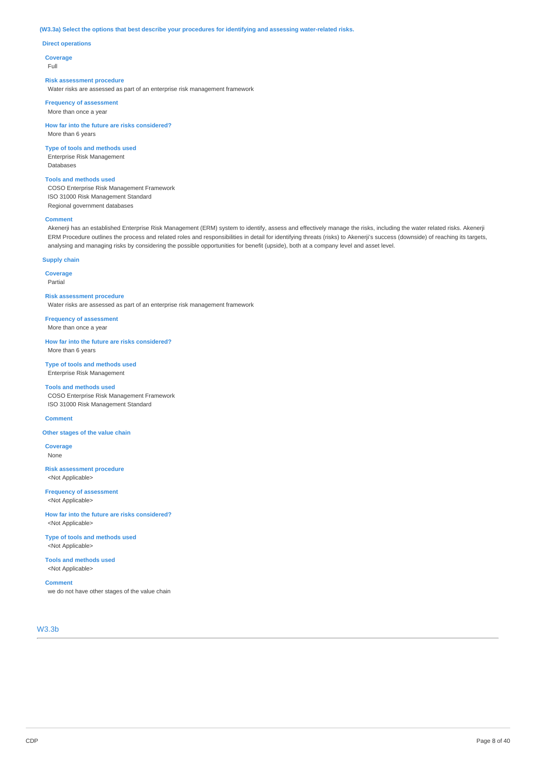#### **(W3.3a) Select the options that best describe your procedures for identifying and assessing water-related risks.**

#### **Direct operations**

**Coverage**

Full

#### **Risk assessment procedure**

Water risks are assessed as part of an enterprise risk management framework

**Frequency of assessment** More than once a year

**How far into the future are risks considered?** More than 6 years

**Type of tools and methods used** Enterprise Risk Management Databases

**Tools and methods used** COSO Enterprise Risk Management Framework ISO 31000 Risk Management Standard Regional government databases

### **Comment**

Akenerji has an established Enterprise Risk Management (ERM) system to identify, assess and effectively manage the risks, including the water related risks. Akenerji ERM Procedure outlines the process and related roles and responsibilities in detail for identifying threats (risks) to Akenerji's success (downside) of reaching its targets, analysing and managing risks by considering the possible opportunities for benefit (upside), both at a company level and asset level.

# **Supply chain**

**Coverage**

Partial

**Risk assessment procedure** Water risks are assessed as part of an enterprise risk management framework

**Frequency of assessment** More than once a year

**How far into the future are risks considered?** More than 6 years

**Type of tools and methods used** Enterprise Risk Management

**Tools and methods used** COSO Enterprise Risk Management Framework ISO 31000 Risk Management Standard

#### **Comment**

**Other stages of the value chain**

**Coverage** None

**Risk assessment procedure** <Not Applicable>

**Frequency of assessment** <Not Applicable>

**How far into the future are risks considered?** <Not Applicable>

**Type of tools and methods used** <Not Applicable>

**Tools and methods used** <Not Applicable>

**Comment**

we do not have other stages of the value chain

W3.3b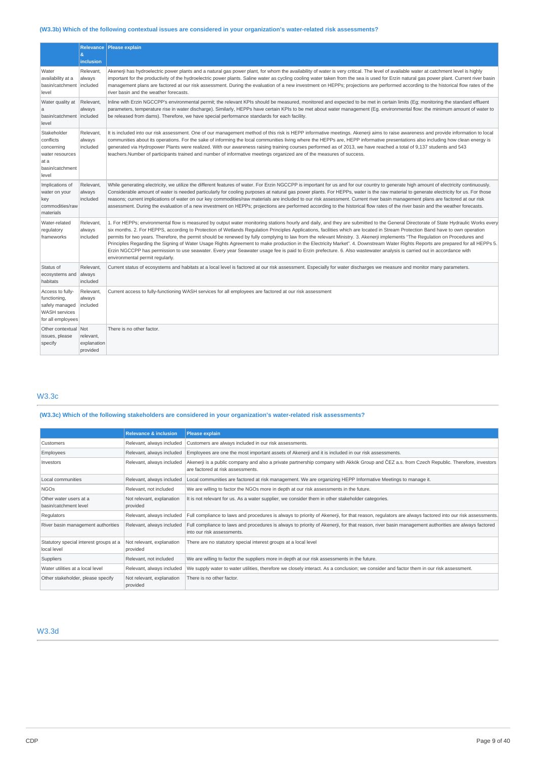# **(W3.3b) Which of the following contextual issues are considered in your organization's water-related risk assessments?**

|                                                                                                 | ė.<br>inclusion                             | Relevance   Please explain                                                                                                                                                                                                                                                                                                                                                                                                                                                                                                                                                                                                                                                                                                                                                                                                                                                                                                                             |
|-------------------------------------------------------------------------------------------------|---------------------------------------------|--------------------------------------------------------------------------------------------------------------------------------------------------------------------------------------------------------------------------------------------------------------------------------------------------------------------------------------------------------------------------------------------------------------------------------------------------------------------------------------------------------------------------------------------------------------------------------------------------------------------------------------------------------------------------------------------------------------------------------------------------------------------------------------------------------------------------------------------------------------------------------------------------------------------------------------------------------|
| Water<br>availability at a<br>basin/catchment<br>level                                          | Relevant.<br>always<br>included             | Akenerji has hydroelectric power plants and a natural gas power plant, for whom the availability of water is very critical. The level of available water at catchment level is highly<br>important for the productivity of the hydroelectric power plants. Saline water as cycling cooling water taken from the sea is used for Erzin natural gas power plant. Current river basin<br>management plans are factored at our risk assessment. During the evaluation of a new investment on HEPPs; projections are performed according to the historical flow rates of the<br>river basin and the weather forecasts.                                                                                                                                                                                                                                                                                                                                      |
| Water quality at<br>a<br>basin/catchment included<br>level                                      | Relevant,<br>always                         | Inline with Erzin NGCCPP's environmental permit; the relevant KPIs should be measured, monitored and expected to be met in certain limits (Eq; monitoring the standard effluent<br>parameters, temperature rise in water discharge). Similarly, HEPPs have certain KPIs to be met about water management (Eq. environmental flow: the minimum amount of water to<br>be released from dams). Therefore, we have special performance standards for each facility.                                                                                                                                                                                                                                                                                                                                                                                                                                                                                        |
| Stakeholder<br>conflicts<br>concerning<br>water resources<br>at a<br>basin/catchment<br>level   | Relevant.<br>always<br>included             | It is included into our risk assessment. One of our management method of this risk is HEPP informative meetings. Akenerji aims to raise awareness and provide information to local<br>communities about its operations. For the sake of informing the local communities living where the HEPPs are, HEPP informative presentations also including how clean energy is<br>generated via Hydropower Plants were realized. With our awareness raising training courses performed as of 2013, we have reached a total of 9,137 students and 543<br>teachers.Number of participants trained and number of informative meetings organized are of the measures of success.                                                                                                                                                                                                                                                                                    |
| Implications of<br>water on your<br>key<br>commodities/raw<br>materials                         | Relevant,<br>always<br>included             | While generating electricity, we utilize the different features of water. For Erzin NGCCPP is important for us and for our country to generate high amount of electricity continuously.<br>Considerable amount of water is needed particularly for cooling purposes at natural gas power plants. For HEPPs, water is the raw material to generate electricity for us. For those<br>reasons; current implications of water on our key commodities/raw materials are included to our risk assessment. Current river basin management plans are factored at our risk<br>assessment. During the evaluation of a new investment on HEPPs; projections are performed according to the historical flow rates of the river basin and the weather forecasts.                                                                                                                                                                                                    |
| Water-related<br>regulatory<br>frameworks                                                       | Relevant,<br>always<br>included             | 1. For HEPPs; environmental flow is measured by output water monitoring stations hourly and daily, and they are submitted to the General Directorate of State Hydraulic Works every<br>six months. 2. For HEPPS, according to Protection of Wetlands Regulation Principles Applications, facilities which are located in Stream Protection Band have to own operation<br>permits for two years. Therefore, the permit should be renewed by fully complying to law from the relevant Ministry. 3. Akenerji implements "The Regulation on Procedures and<br>Principles Regarding the Signing of Water Usage Rights Agreement to make production in the Electricity Market". 4. Downstream Water Rights Reports are prepared for all HEPPs 5.<br>Erzin NGCCPP has permission to use seawater. Every year Seawater usage fee is paid to Erzin prefecture. 6. Also wastewater analysis is carried out in accordance with<br>environmental permit regularly. |
| Status of<br>ecosystems and<br>habitats                                                         | Relevant,<br>always<br>included             | Current status of ecosystems and habitats at a local level is factored at our risk assessment. Especially for water discharges we measure and monitor many parameters.                                                                                                                                                                                                                                                                                                                                                                                                                                                                                                                                                                                                                                                                                                                                                                                 |
| Access to fully-<br>functioning,<br>safely managed<br><b>WASH</b> services<br>for all employees | Relevant,<br>always<br>included             | Current access to fully-functioning WASH services for all employees are factored at our risk assessment                                                                                                                                                                                                                                                                                                                                                                                                                                                                                                                                                                                                                                                                                                                                                                                                                                                |
| Other contextual<br>issues, please<br>specify                                                   | Not<br>relevant,<br>explanation<br>provided | There is no other factor.                                                                                                                                                                                                                                                                                                                                                                                                                                                                                                                                                                                                                                                                                                                                                                                                                                                                                                                              |

# W3.3c

# **(W3.3c) Which of the following stakeholders are considered in your organization's water-related risk assessments?**

|                                                       | <b>Relevance &amp; inclusion</b>      | <b>Please explain</b>                                                                                                                                                            |  |
|-------------------------------------------------------|---------------------------------------|----------------------------------------------------------------------------------------------------------------------------------------------------------------------------------|--|
| Relevant, always included<br>Customers                |                                       | Customers are always included in our risk assessments.                                                                                                                           |  |
| Employees                                             | Relevant, always included             | Employees are one the most important assets of Akenerji and it is included in our risk assessments.                                                                              |  |
| Investors                                             | Relevant, always included             | Akenerji is a public company and also a private partnership company with Akkök Group and ČEZ a.s. from Czech Republic. Therefore, investors<br>are factored at risk assessments. |  |
| Local communities                                     | Relevant, always included             | Local communities are factored at risk management. We are organizing HEPP Informative Meetings to manage it.                                                                     |  |
| <b>NGOS</b>                                           | Relevant, not included                | We are willing to factor the NGOs more in depth at our risk assessments in the future.                                                                                           |  |
| Other water users at a<br>basin/catchment level       | Not relevant, explanation<br>provided | It is not relevant for us. As a water supplier, we consider them in other stakeholder categories.                                                                                |  |
| Regulators                                            | Relevant, always included             | Full compliance to laws and procedures is always to priority of Akenerji, for that reason, requlators are always factored into our risk assessments.                             |  |
| River basin management authorities                    | Relevant, always included             | Full compliance to laws and procedures is always to priority of Akenerji, for that reason, river basin management authorities are always factored<br>into our risk assessments.  |  |
| Statutory special interest groups at a<br>local level | Not relevant, explanation<br>provided | There are no statutory special interest groups at a local level                                                                                                                  |  |
| Suppliers                                             | Relevant, not included                | We are willing to factor the suppliers more in depth at our risk assessments in the future.                                                                                      |  |
| Water utilities at a local level                      | Relevant, always included             | We supply water to water utilities, therefore we closely interact. As a conclusion; we consider and factor them in our risk assessment.                                          |  |
| Other stakeholder, please specify                     | Not relevant, explanation<br>provided | There is no other factor.                                                                                                                                                        |  |

# W3.3d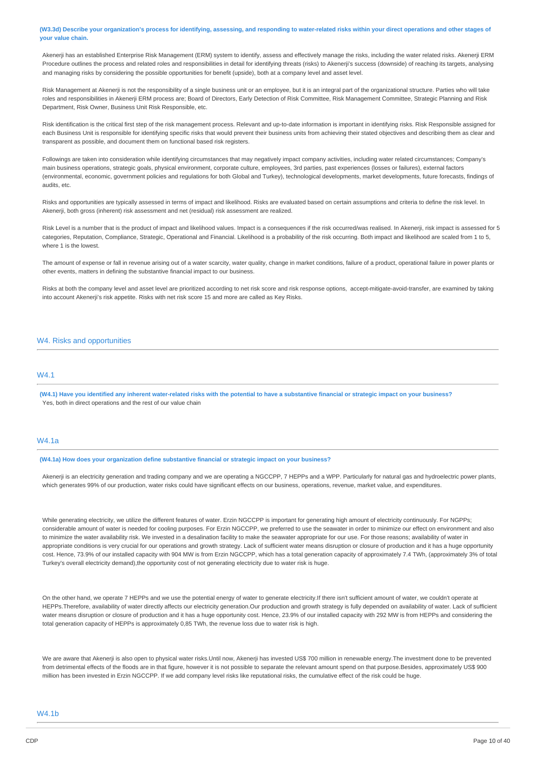(W3.3d) Describe your organization's process for identifying, assessing, and responding to water-related risks within your direct operations and other stages of **your value chain.**

Akenerji has an established Enterprise Risk Management (ERM) system to identify, assess and effectively manage the risks, including the water related risks. Akenerji ERM Procedure outlines the process and related roles and responsibilities in detail for identifying threats (risks) to Akenerji's success (downside) of reaching its targets, analysing and managing risks by considering the possible opportunities for benefit (upside), both at a company level and asset level.

Risk Management at Akenerji is not the responsibility of a single business unit or an employee, but it is an integral part of the organizational structure. Parties who will take roles and responsibilities in Akenerji ERM process are; Board of Directors, Early Detection of Risk Committee, Risk Management Committee, Strategic Planning and Risk Department, Risk Owner, Business Unit Risk Responsible, etc.

Risk identification is the critical first step of the risk management process. Relevant and up-to-date information is important in identifying risks. Risk Responsible assigned for each Business Unit is responsible for identifying specific risks that would prevent their business units from achieving their stated objectives and describing them as clear and transparent as possible, and document them on functional based risk registers.

Followings are taken into consideration while identifying circumstances that may negatively impact company activities, including water related circumstances; Company's main business operations, strategic goals, physical environment, corporate culture, employees, 3rd parties, past experiences (losses or failures), external factors (environmental, economic, government policies and regulations for both Global and Turkey), technological developments, market developments, future forecasts, findings of audits, etc.

Risks and opportunities are typically assessed in terms of impact and likelihood. Risks are evaluated based on certain assumptions and criteria to define the risk level. In Akenerji, both gross (inherent) risk assessment and net (residual) risk assessment are realized.

Risk Level is a number that is the product of impact and likelihood values. Impact is a consequences if the risk occurred/was realised. In Akenerii, risk impact is assessed for 5 categories, Reputation, Compliance, Strategic, Operational and Financial. Likelihood is a probability of the risk occurring. Both impact and likelihood are scaled from 1 to 5, where 1 is the lowest.

The amount of expense or fall in revenue arising out of a water scarcity, water quality, change in market conditions, failure of a product, operational failure in power plants or other events, matters in defining the substantive financial impact to our business.

Risks at both the company level and asset level are prioritized according to net risk score and risk response options, accept-mitigate-avoid-transfer, are examined by taking into account Akenerji's risk appetite. Risks with net risk score 15 and more are called as Key Risks.

### W4. Risks and opportunities

# **MA1**

(W4.1) Have you identified any inherent water-related risks with the potential to have a substantive financial or strategic impact on your business? Yes, both in direct operations and the rest of our value chain

# W4.1a

**(W4.1a) How does your organization define substantive financial or strategic impact on your business?**

Akenerji is an electricity generation and trading company and we are operating a NGCCPP, 7 HEPPs and a WPP. Particularly for natural gas and hydroelectric power plants, which generates 99% of our production, water risks could have significant effects on our business, operations, revenue, market value, and expenditures.

While generating electricity, we utilize the different features of water. Erzin NGCCPP is important for generating high amount of electricity continuously. For NGPPs; considerable amount of water is needed for cooling purposes. For Erzin NGCCPP, we preferred to use the seawater in order to minimize our effect on environment and also to minimize the water availability risk. We invested in a desalination facility to make the seawater appropriate for our use. For those reasons; availability of water in appropriate conditions is very crucial for our operations and growth strategy. Lack of sufficient water means disruption or closure of production and it has a huge opportunity cost. Hence, 73.9% of our installed capacity with 904 MW is from Erzin NGCCPP, which has a total generation capacity of approximately 7.4 TWh, (approximately 3% of total Turkey's overall electricity demand),the opportunity cost of not generating electricity due to water risk is huge.

On the other hand, we operate 7 HEPPs and we use the potential energy of water to generate electricity.If there isn't sufficient amount of water, we couldn't operate at HEPPs.Therefore, availability of water directly affects our electricity generation.Our production and growth strategy is fully depended on availability of water. Lack of sufficient water means disruption or closure of production and it has a huge opportunity cost. Hence, 23.9% of our installed capacity with 292 MW is from HEPPs and considering the total generation capacity of HEPPs is approximately 0,85 TWh, the revenue loss due to water risk is high.

We are aware that Akenerji is also open to physical water risks.Until now, Akenerji has invested US\$ 700 million in renewable energy.The investment done to be prevented from detrimental effects of the floods are in that figure, however it is not possible to separate the relevant amount spend on that purpose.Besides, approximately US\$ 900 million has been invested in Erzin NGCCPP. If we add company level risks like reputational risks, the cumulative effect of the risk could be huge.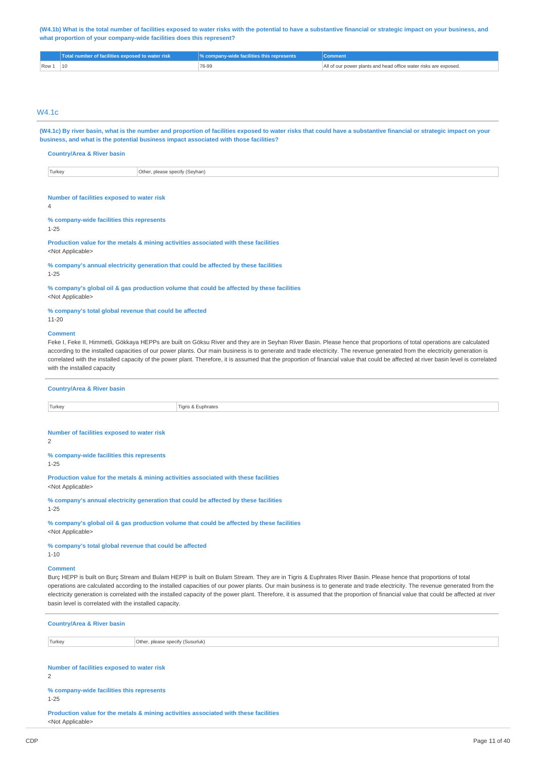(W4.1b) What is the total number of facilities exposed to water risks with the potential to have a substantive financial or strategic impact on your business, and **what proportion of your company-wide facilities does this represent?**

|                | Total number of facilities exposed to water risk | $\sqrt{\%}$ company-wide facilities this represents | Comment.                                                         |
|----------------|--------------------------------------------------|-----------------------------------------------------|------------------------------------------------------------------|
| $\sqrt{$ Row 1 |                                                  | 76-99                                               | All of our power plants and head office water risks are exposed. |

# W4.1c

(W4.1c) By river basin, what is the number and proportion of facilities exposed to water risks that could have a substantive financial or strategic impact on your **business, and what is the potential business impact associated with those facilities?**

**Country/Area & River basin**

Turkey **Other, please specify (Seyhan)** 

#### **Number of facilities exposed to water risk**

 $\overline{A}$ 

**% company-wide facilities this represents**

1-25

**Production value for the metals & mining activities associated with these facilities** <Not Applicable>

**% company's annual electricity generation that could be affected by these facilities** 1-25

**% company's global oil & gas production volume that could be affected by these facilities**

<Not Applicable>

**% company's total global revenue that could be affected** 11-20

#### **Comment**

Feke I, Feke II, Himmetli, Gökkaya HEPPs are built on Göksu River and they are in Seyhan River Basin. Please hence that proportions of total operations are calculated according to the installed capacities of our power plants. Our main business is to generate and trade electricity. The revenue generated from the electricity generation is correlated with the installed capacity of the power plant. Therefore, it is assumed that the proportion of financial value that could be affected at river basin level is correlated with the installed capacity

| <b>Country/Area &amp; River basin</b>      |                    |  |
|--------------------------------------------|--------------------|--|
| Turkey                                     | Tigris & Euphrates |  |
|                                            |                    |  |
| Number of facilities exposed to water risk |                    |  |

 $\overline{2}$ 

**% company-wide facilities this represents** 1-25

**Production value for the metals & mining activities associated with these facilities** <Not Applicable>

**% company's annual electricity generation that could be affected by these facilities** 1-25

**% company's global oil & gas production volume that could be affected by these facilities** <Not Applicable>

**% company's total global revenue that could be affected** 1-10

### **Comment**

Burç HEPP is built on Burç Stream and Bulam HEPP is built on Bulam Stream. They are in Tigris & Euphrates River Basin. Please hence that proportions of total operations are calculated according to the installed capacities of our power plants. Our main business is to generate and trade electricity. The revenue generated from the electricity generation is correlated with the installed capacity of the power plant. Therefore, it is assumed that the proportion of financial value that could be affected at river basin level is correlated with the installed capacity.

| <b>Country/Area &amp; River basin</b>                 |                                  |  |  |
|-------------------------------------------------------|----------------------------------|--|--|
| Turkey                                                | Other, please specify (Susurluk) |  |  |
| Number of facilities exposed to water risk            |                                  |  |  |
| % company-wide facilities this represents<br>$1 - 25$ |                                  |  |  |

**Production value for the metals & mining activities associated with these facilities** <Not Applicable>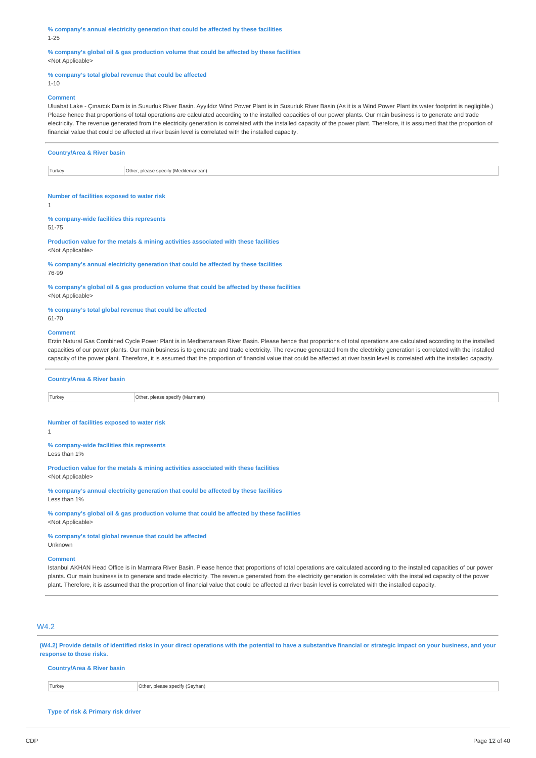**% company's annual electricity generation that could be affected by these facilities** 1-25

**% company's global oil & gas production volume that could be affected by these facilities** <Not Applicable>

### **% company's total global revenue that could be affected**

1-10

#### **Comment**

Uluabat Lake - Çınarcık Dam is in Susurluk River Basin. Ayyıldız Wind Power Plant is in Susurluk River Basin (As it is a Wind Power Plant its water footprint is negligible.) Please hence that proportions of total operations are calculated according to the installed capacities of our power plants. Our main business is to generate and trade electricity. The revenue generated from the electricity generation is correlated with the installed capacity of the power plant. Therefore, it is assumed that the proportion of financial value that could be affected at river basin level is correlated with the installed capacity.

| <b>Country/Area &amp; River basin</b>           |  |  |  |  |
|-------------------------------------------------|--|--|--|--|
| Turkey<br>Other, please specify (Mediterranean) |  |  |  |  |

#### **Number of facilities exposed to water risk**

1

51-75

**% company-wide facilities this represents**

**Production value for the metals & mining activities associated with these facilities** <Not Applicable>

**% company's annual electricity generation that could be affected by these facilities** 76-99

**% company's global oil & gas production volume that could be affected by these facilities**

**% company's total global revenue that could be affected** 61-70

#### **Comment**

<Not Applicable>

Erzin Natural Gas Combined Cycle Power Plant is in Mediterranean River Basin. Please hence that proportions of total operations are calculated according to the installed capacities of our power plants. Our main business is to generate and trade electricity. The revenue generated from the electricity generation is correlated with the installed capacity of the power plant. Therefore, it is assumed that the proportion of financial value that could be affected at river basin level is correlated with the installed capacity.

|--|

Turkey **Other, please specify (Marmara)** 

#### **Number of facilities exposed to water risk**

1

**% company-wide facilities this represents** Less than 1%

**Production value for the metals & mining activities associated with these facilities** <Not Applicable>

**% company's annual electricity generation that could be affected by these facilities** Less than 1%

**% company's global oil & gas production volume that could be affected by these facilities** <Not Applicable>

**% company's total global revenue that could be affected** Unknown

# **Comment**

Istanbul AKHAN Head Office is in Marmara River Basin. Please hence that proportions of total operations are calculated according to the installed capacities of our power plants. Our main business is to generate and trade electricity. The revenue generated from the electricity generation is correlated with the installed capacity of the power plant. Therefore, it is assumed that the proportion of financial value that could be affected at river basin level is correlated with the installed capacity.

# W4.2

(W4.2) Provide details of identified risks in your direct operations with the potential to have a substantive financial or strategic impact on your business, and your **response to those risks.**

### **Country/Area & River basin**

Turkey Other, please specify (Seyhan)

**Type of risk & Primary risk driver**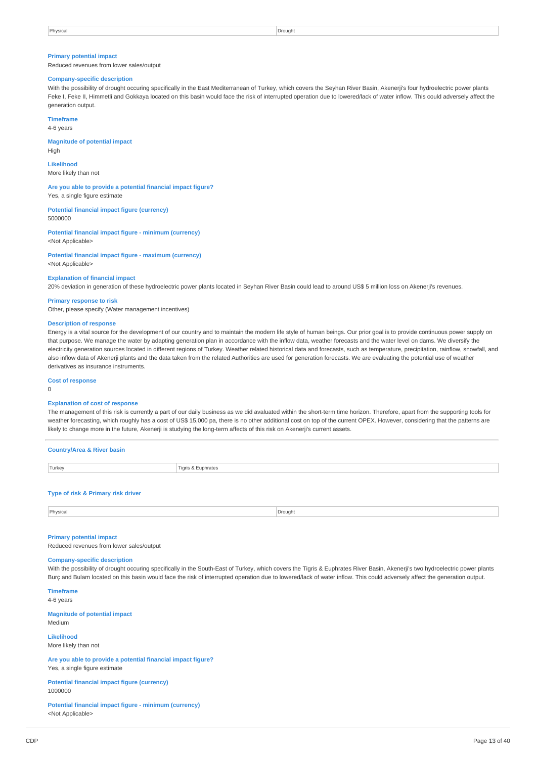### **Primary potential impact**

Reduced revenues from lower sales/output

# **Company-specific description**

With the possibility of drought occuring specifically in the East Mediterranean of Turkey, which covers the Seyhan River Basin, Akenerji's four hydroelectric power plants Feke I, Feke II, Himmetli and Gokkaya located on this basin would face the risk of interrupted operation due to lowered/lack of water inflow. This could adversely affect the generation output.

**Timeframe**

4-6 years

**Magnitude of potential impact** High

**Likelihood**

More likely than not

**Are you able to provide a potential financial impact figure?** Yes, a single figure estimate

**Potential financial impact figure (currency)** 5000000

**Potential financial impact figure - minimum (currency)** <Not Applicable>

**Potential financial impact figure - maximum (currency)** <Not Applicable>

#### **Explanation of financial impact**

20% deviation in generation of these hydroelectric power plants located in Seyhan River Basin could lead to around US\$ 5 million loss on Akenerji's revenues.

### **Primary response to risk**

Other, please specify (Water management incentives)

#### **Description of response**

Energy is a vital source for the development of our country and to maintain the modern life style of human beings. Our prior goal is to provide continuous power supply on that purpose. We manage the water by adapting generation plan in accordance with the inflow data, weather forecasts and the water level on dams. We diversify the electricity generation sources located in different regions of Turkey. Weather related historical data and forecasts, such as temperature, precipitation, rainflow, snowfall, and also inflow data of Akenerji plants and the data taken from the related Authorities are used for generation forecasts. We are evaluating the potential use of weather derivatives as insurance instruments.

**Cost of response**

0

#### **Explanation of cost of response**

The management of this risk is currently a part of our daily business as we did avaluated within the short-term time horizon. Therefore, apart from the supporting tools for weather forecasting, which roughly has a cost of US\$ 15,000 pa, there is no other additional cost on top of the current OPEX. However, considering that the patterns are likely to change more in the future, Akenerji is studying the long-term affects of this risk on Akenerji's current assets.

| <b>Country/Area &amp; River basin</b> |  |         |  |  |
|---------------------------------------|--|---------|--|--|
| Turkey<br>Tigris & Euphrates          |  |         |  |  |
| Type of risk & Primary risk driver    |  |         |  |  |
| Physical                              |  | Drought |  |  |

#### **Primary potential impact**

Reduced revenues from lower sales/output

#### **Company-specific description**

With the possibility of drought occuring specifically in the South-East of Turkey, which covers the Tigris & Euphrates River Basin, Akenerji's two hydroelectric power plants Burç and Bulam located on this basin would face the risk of interrupted operation due to lowered/lack of water inflow. This could adversely affect the generation output.

**Timeframe**

4-6 years

**Magnitude of potential impact**

Medium

**Likelihood** More likely than not

**Are you able to provide a potential financial impact figure?** Yes, a single figure estimate

**Potential financial impact figure (currency)** 1000000

**Potential financial impact figure - minimum (currency)** <Not Applicable>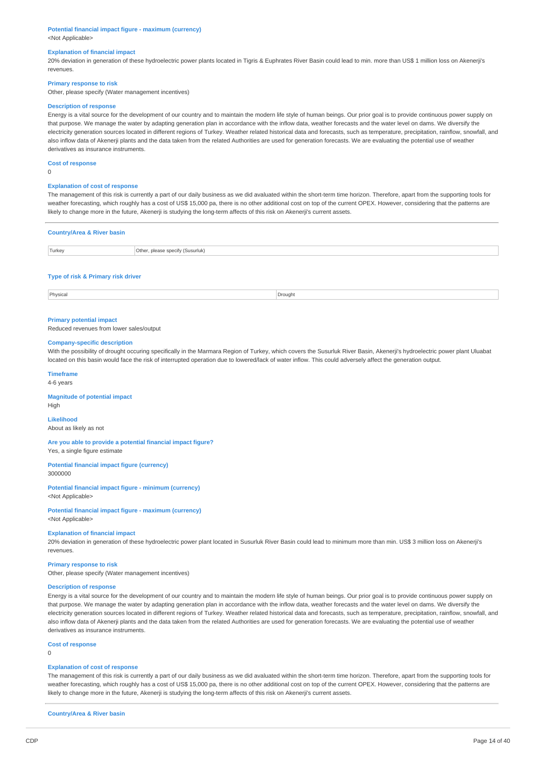#### **Potential financial impact figure - maximum (currency)** <Not Applicable>

#### **Explanation of financial impact**

20% deviation in generation of these hydroelectric power plants located in Tigris & Euphrates River Basin could lead to min. more than US\$ 1 million loss on Akenerji's revenues.

### **Primary response to risk**

Other, please specify (Water management incentives)

### **Description of response**

Energy is a vital source for the development of our country and to maintain the modern life style of human beings. Our prior goal is to provide continuous power supply on that purpose. We manage the water by adapting generation plan in accordance with the inflow data, weather forecasts and the water level on dams. We diversify the electricity generation sources located in different regions of Turkey. Weather related historical data and forecasts, such as temperature, precipitation, rainflow, snowfall, and also inflow data of Akenerji plants and the data taken from the related Authorities are used for generation forecasts. We are evaluating the potential use of weather derivatives as insurance instruments.

**Cost of response**

 $\overline{0}$ 

#### **Explanation of cost of response**

The management of this risk is currently a part of our daily business as we did avaluated within the short-term time horizon. Therefore, apart from the supporting tools for weather forecasting, which roughly has a cost of US\$ 15,000 pa, there is no other additional cost on top of the current OPEX. However, considering that the patterns are likely to change more in the future, Akenerji is studying the long-term affects of this risk on Akenerji's current assets.

| <b>Country/Area &amp; River basin</b> |                                  |  |  |
|---------------------------------------|----------------------------------|--|--|
| Turkey                                | Other, please specify (Susurluk) |  |  |
| Type of risk & Primary risk driver    |                                  |  |  |

Physical Drought **Drought** Drought **Drought Drought Drought Drought Drought Drought** 

#### **Primary potential impact**

Reduced revenues from lower sales/output

#### **Company-specific description**

With the possibility of drought occuring specifically in the Marmara Region of Turkey, which covers the Susurluk River Basin, Akenerji's hydroelectric power plant Uluabat located on this basin would face the risk of interrupted operation due to lowered/lack of water inflow. This could adversely affect the generation output.

#### **Timeframe**

4-6 years

High

#### **Magnitude of potential impact**

**Likelihood**

About as likely as not

**Are you able to provide a potential financial impact figure?** Yes, a single figure estimate

**Potential financial impact figure (currency)**

3000000

**Potential financial impact figure - minimum (currency)** <Not Applicable>

**Potential financial impact figure - maximum (currency)** <Not Applicable>

#### **Explanation of financial impact**

20% deviation in generation of these hydroelectric power plant located in Susurluk River Basin could lead to minimum more than min. US\$ 3 million loss on Akenerji's revenues.

#### **Primary response to risk**

Other, please specify (Water management incentives)

### **Description of response**

Energy is a vital source for the development of our country and to maintain the modern life style of human beings. Our prior goal is to provide continuous power supply on that purpose. We manage the water by adapting generation plan in accordance with the inflow data, weather forecasts and the water level on dams. We diversify the electricity generation sources located in different regions of Turkey. Weather related historical data and forecasts, such as temperature, precipitation, rainflow, snowfall, and also inflow data of Akenerji plants and the data taken from the related Authorities are used for generation forecasts. We are evaluating the potential use of weather derivatives as insurance instruments.

#### **Cost of response**

0

#### **Explanation of cost of response**

The management of this risk is currently a part of our daily business as we did avaluated within the short-term time horizon. Therefore, apart from the supporting tools for weather forecasting, which roughly has a cost of US\$ 15,000 pa, there is no other additional cost on top of the current OPEX. However, considering that the patterns are likely to change more in the future, Akenerji is studying the long-term affects of this risk on Akenerji's current assets.

**Country/Area & River basin**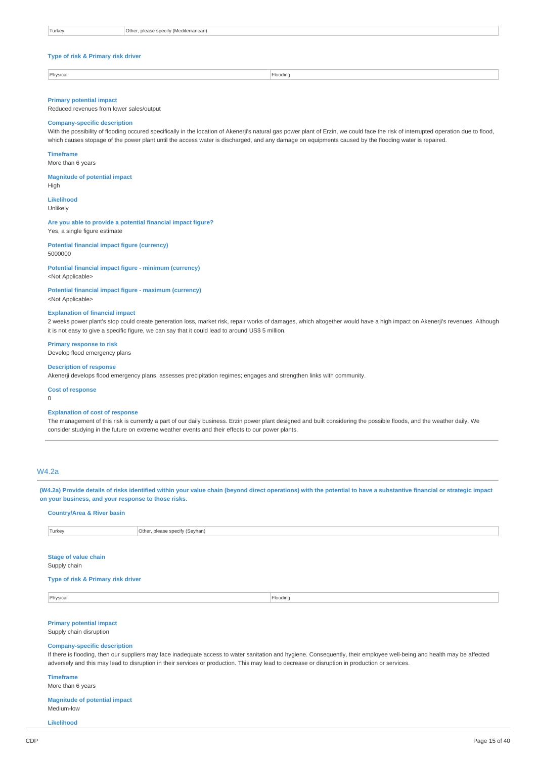| Turkey | Other, please specify (Mediterranean) |
|--------|---------------------------------------|
|        |                                       |

# **Type of risk & Primary risk driver**

Physical Flooding

#### **Primary potential impact**

Reduced revenues from lower sales/output

# **Company-specific description**

With the possibility of flooding occured specifically in the location of Akenerji's natural gas power plant of Erzin, we could face the risk of interrupted operation due to flood, which causes stopage of the power plant until the access water is discharged, and any damage on equipments caused by the flooding water is repaired.

#### **Timeframe**

More than 6 years

### **Magnitude of potential impact**

High

# **Likelihood**

Unlikely

**Are you able to provide a potential financial impact figure?** Yes, a single figure estimate

**Potential financial impact figure (currency)** 5000000

**Potential financial impact figure - minimum (currency)** <Not Applicable>

**Potential financial impact figure - maximum (currency)** <Not Applicable>

# **Explanation of financial impact**

2 weeks power plant's stop could create generation loss, market risk, repair works of damages, which altogether would have a high impact on Akenerji's revenues. Although it is not easy to give a specific figure, we can say that it could lead to around US\$ 5 million.

### **Primary response to risk**

Develop flood emergency plans

#### **Description of response**

Akenerji develops flood emergency plans, assesses precipitation regimes; engages and strengthen links with community.

#### **Cost of response**

0

#### **Explanation of cost of response**

The management of this risk is currently a part of our daily business. Erzin power plant designed and built considering the possible floods, and the weather daily. We consider studying in the future on extreme weather events and their effects to our power plants.

# W4.2a

(W4.2a) Provide details of risks identified within your value chain (beyond direct operations) with the potential to have a substantive financial or strategic impact **on your business, and your response to those risks.**

#### **Country/Area & River basin**

Turkey Other, please specify (Seyhan)

# **Stage of value chain**

Supply chain

# **Type of risk & Primary risk driver**

Physical Flooding and the contract of the contract of the contract of the contract of the contract of the contract of the contract of the contract of the contract of the contract of the contract of the contract of the cont

# **Primary potential impact**

Supply chain disruption

#### **Company-specific description**

If there is flooding, then our suppliers may face inadequate access to water sanitation and hygiene. Consequently, their employee well-being and health may be affected adversely and this may lead to disruption in their services or production. This may lead to decrease or disruption in production or services.

### **Timeframe**

More than 6 years

#### **Magnitude of potential impact** Medium-low

**Likelihood**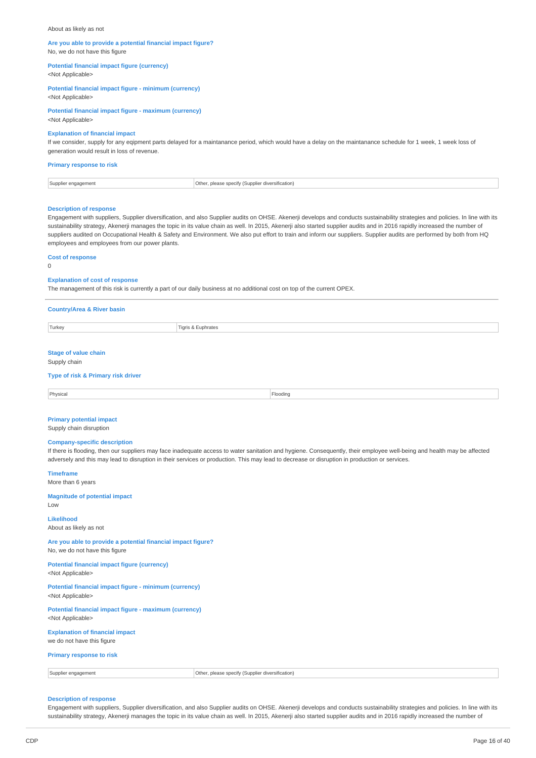#### About as likely as not

# **Are you able to provide a potential financial impact figure?**

No, we do not have this figure

**Potential financial impact figure (currency)**

<Not Applicable>

#### **Potential financial impact figure - minimum (currency)** <Not Applicable>

# **Potential financial impact figure - maximum (currency)**

<Not Applicable>

# **Explanation of financial impact**

If we consider, supply for any eqipment parts delayed for a maintanance period, which would have a delay on the maintanance schedule for 1 week, 1 week loss of generation would result in loss of revenue.

#### **Primary response to risk**

| r engagement<br>Supplier | Othe<br><i>rersification</i> )<br>. please speci<br>Supplier<br>diver<br><br>. |
|--------------------------|--------------------------------------------------------------------------------|
|                          |                                                                                |

#### **Description of response**

Engagement with suppliers, Supplier diversification, and also Supplier audits on OHSE. Akenerji develops and conducts sustainability strategies and policies. In line with its sustainability strategy, Akenerji manages the topic in its value chain as well. In 2015, Akenerji also started supplier audits and in 2016 rapidly increased the number of suppliers audited on Occupational Health & Safety and Environment. We also put effort to train and inform our suppliers. Supplier audits are performed by both from HQ employees and employees from our power plants.

#### **Cost of response**

 $\Omega$ 

#### **Explanation of cost of response**

The management of this risk is currently a part of our daily business at no additional cost on top of the current OPEX.

| <b>Country/Area &amp; River basin</b>       |                    |          |
|---------------------------------------------|--------------------|----------|
| Turkey                                      | Tigris & Euphrates |          |
| <b>Stage of value chain</b><br>Supply chain |                    |          |
| Type of risk & Primary risk driver          |                    |          |
| Physical                                    |                    | Flooding |
| Deimany notantial impact                    |                    |          |

# **Primary potential impact**

Supply chain disruption

### **Company-specific description**

If there is flooding, then our suppliers may face inadequate access to water sanitation and hygiene. Consequently, their employee well-being and health may be affected adversely and this may lead to disruption in their services or production. This may lead to decrease or disruption in production or services.

**Timeframe** More than 6 years

**Magnitude of potential impact**

Low **Likelihood**

About as likely as not

**Are you able to provide a potential financial impact figure?** No, we do not have this figure

**Potential financial impact figure (currency)** <Not Applicable>

**Potential financial impact figure - minimum (currency)** <Not Applicable>

**Potential financial impact figure - maximum (currency)** <Not Applicable>

**Explanation of financial impact** we do not have this figure

# **Primary response to risk**

Supplier engagement **Constant Constant Constant Constant Constant Constant Constant Constant Constant Constant Constant Constant Constant Constant Constant Constant Constant Constant Constant Constant Constant Constant Con** 

#### **Description of response**

Engagement with suppliers, Supplier diversification, and also Supplier audits on OHSE. Akenerji develops and conducts sustainability strategies and policies. In line with its sustainability strategy, Akenerji manages the topic in its value chain as well. In 2015, Akenerji also started supplier audits and in 2016 rapidly increased the number of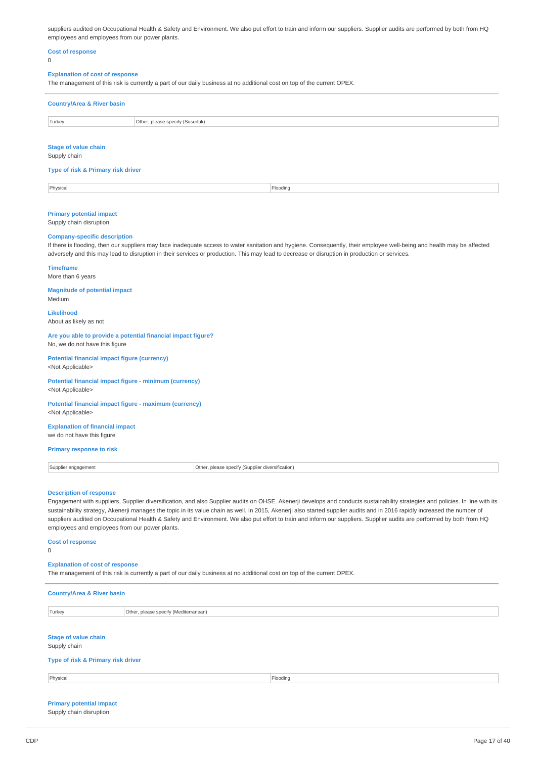suppliers audited on Occupational Health & Safety and Environment. We also put effort to train and inform our suppliers. Supplier audits are performed by both from HQ employees and employees from our power plants.

# **Cost of response**

 $\Omega$ 

#### **Explanation of cost of response**

The management of this risk is currently a part of our daily business at no additional cost on top of the current OPEX.

| <b>Country/Area &amp; River basin</b> |                                  |  |  |
|---------------------------------------|----------------------------------|--|--|
| Turkey                                | Other, please specify (Susurluk) |  |  |
| Stage of value chain                  |                                  |  |  |

Supply chain

#### **Type of risk & Primary risk driver**

Physical Flooding and the contract of the contract of the contract of the contract of the contract of the contract of the contract of the contract of the contract of the contract of the contract of the contract of the cont

#### **Primary potential impact**

Supply chain disruption

#### **Company-specific description**

If there is flooding, then our suppliers may face inadequate access to water sanitation and hygiene. Consequently, their employee well-being and health may be affected adversely and this may lead to disruption in their services or production. This may lead to decrease or disruption in production or services.

### **Timeframe**

More than 6 years

#### **Magnitude of potential impact** Medium

**Likelihood** About as likely as not

**Are you able to provide a potential financial impact figure?** No, we do not have this figure

#### **Potential financial impact figure (currency)** <Not Applicable>

**Potential financial impact figure - minimum (currency)** <Not Applicable>

#### **Potential financial impact figure - maximum (currency)** <Not Applicable>

**Explanation of financial impact** we do not have this figure

### **Primary response to risk**

| Supplier engagement<br>___ | .)ther<br>$R_{\rm max}$<br>. diversification)<br>(Supplie<br>SDE.<br>aniv r<br>east<br>. |
|----------------------------|------------------------------------------------------------------------------------------|
|                            |                                                                                          |

#### **Description of response**

Engagement with suppliers, Supplier diversification, and also Supplier audits on OHSE. Akenerji develops and conducts sustainability strategies and policies. In line with its sustainability strategy, Akenerji manages the topic in its value chain as well. In 2015, Akenerji also started supplier audits and in 2016 rapidly increased the number of suppliers audited on Occupational Health & Safety and Environment. We also put effort to train and inform our suppliers. Supplier audits are performed by both from HQ employees and employees from our power plants.

#### **Cost of response**

 $\Omega$ 

#### **Explanation of cost of response**

The management of this risk is currently a part of our daily business at no additional cost on top of the current OPEX.

| <b>Country/Area &amp; River basin</b> |                                       |          |
|---------------------------------------|---------------------------------------|----------|
| Turkey                                | Other, please specify (Mediterranean) |          |
|                                       |                                       |          |
| <b>Stage of value chain</b>           |                                       |          |
| Supply chain                          |                                       |          |
| Type of risk & Primary risk driver    |                                       |          |
| Physical                              |                                       | Flooding |
|                                       |                                       |          |
|                                       |                                       |          |

#### **Primary potential impact** Supply chain disruption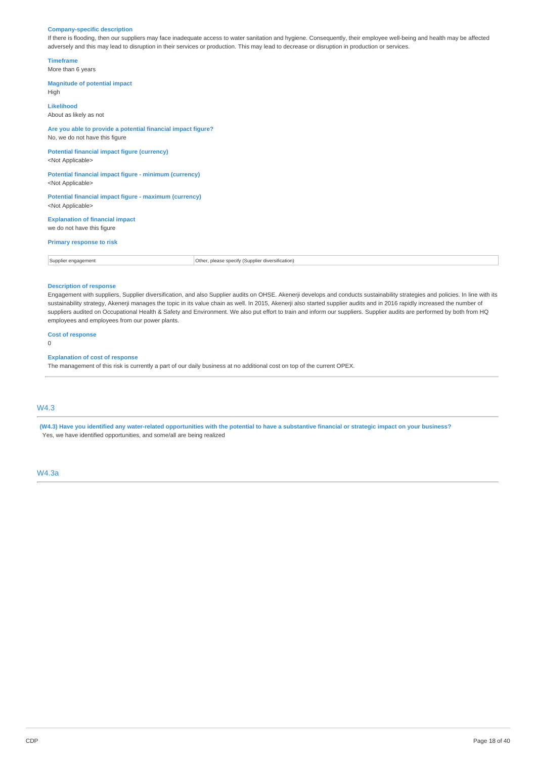#### **Company-specific description**

If there is flooding, then our suppliers may face inadequate access to water sanitation and hygiene. Consequently, their employee well-being and health may be affected adversely and this may lead to disruption in their services or production. This may lead to decrease or disruption in production or services.

**Timeframe** More than 6 years

**Magnitude of potential impact** High **Likelihood** About as likely as not **Are you able to provide a potential financial impact figure?** No, we do not have this figure **Potential financial impact figure (currency)** <Not Applicable> **Potential financial impact figure - minimum (currency)** <Not Applicable> **Potential financial impact figure - maximum (currency)** <Not Applicable> **Explanation of financial impact** we do not have this figure **Primary response to risk** Supplier engagement **Constanting Constanting Constanting Constanting Constanting Constanting Constanting Constanting Constanting Constanting Constanting Constanting Constanting Constanting Constanting Constanting Constanti** 

### **Description of response**

Engagement with suppliers, Supplier diversification, and also Supplier audits on OHSE. Akenerji develops and conducts sustainability strategies and policies. In line with its sustainability strategy, Akenerji manages the topic in its value chain as well. In 2015, Akenerji also started supplier audits and in 2016 rapidly increased the number of suppliers audited on Occupational Health & Safety and Environment. We also put effort to train and inform our suppliers. Supplier audits are performed by both from HQ employees and employees from our power plants.

**Cost of response**

0

#### **Explanation of cost of response**

The management of this risk is currently a part of our daily business at no additional cost on top of the current OPEX.

# W4.3

(W4.3) Have you identified any water-related opportunities with the potential to have a substantive financial or strategic impact on your business? Yes, we have identified opportunities, and some/all are being realized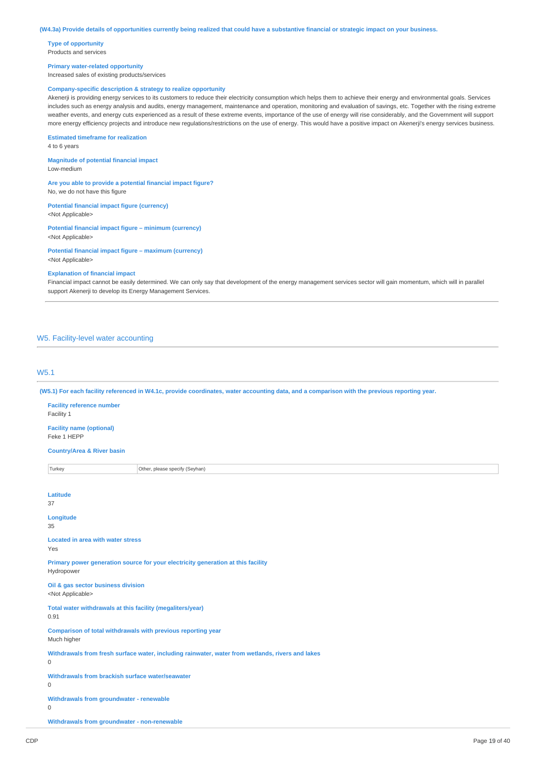**Type of opportunity** Products and services

#### **Primary water-related opportunity**

Increased sales of existing products/services

### **Company-specific description & strategy to realize opportunity**

Akenerji is providing energy services to its customers to reduce their electricity consumption which helps them to achieve their energy and environmental goals. Services includes such as energy analysis and audits, energy management, maintenance and operation, monitoring and evaluation of savings, etc. Together with the rising extreme weather events, and energy cuts experienced as a result of these extreme events, importance of the use of energy will rise considerably, and the Government will support more energy efficiency projects and introduce new regulations/restrictions on the use of energy. This would have a positive impact on Akenerji's energy services business.

#### **Estimated timeframe for realization**

4 to 6 years

**Magnitude of potential financial impact** Low-medium

**Are you able to provide a potential financial impact figure?** No, we do not have this figure

**Potential financial impact figure (currency)** <Not Applicable>

**Potential financial impact figure – minimum (currency)** <Not Applicable>

**Potential financial impact figure – maximum (currency)** <Not Applicable>

#### **Explanation of financial impact**

Financial impact cannot be easily determined. We can only say that development of the energy management services sector will gain momentum, which will in parallel support Akenerji to develop its Energy Management Services.

# W5. Facility-level water accounting

# W5.1

(W5.1) For each facility referenced in W4.1c, provide coordinates, water accounting data, and a comparison with the previous reporting year.

| <b>Facility reference number</b><br>Facility 1                                                                  |                                |  |  |
|-----------------------------------------------------------------------------------------------------------------|--------------------------------|--|--|
| <b>Facility name (optional)</b><br>Feke 1 HEPP                                                                  |                                |  |  |
| <b>Country/Area &amp; River basin</b>                                                                           |                                |  |  |
| Turkey                                                                                                          | Other, please specify (Seyhan) |  |  |
| Latitude                                                                                                        |                                |  |  |
| 37                                                                                                              |                                |  |  |
| Longitude<br>35                                                                                                 |                                |  |  |
| <b>Located in area with water stress</b><br>Yes                                                                 |                                |  |  |
| Primary power generation source for your electricity generation at this facility<br>Hydropower                  |                                |  |  |
| Oil & gas sector business division<br><not applicable=""></not>                                                 |                                |  |  |
| Total water withdrawals at this facility (megaliters/year)<br>0.91                                              |                                |  |  |
| Comparison of total withdrawals with previous reporting year<br>Much higher                                     |                                |  |  |
| Withdrawals from fresh surface water, including rainwater, water from wetlands, rivers and lakes<br>$\mathbf 0$ |                                |  |  |
| Withdrawals from brackish surface water/seawater<br>0                                                           |                                |  |  |
| Withdrawals from groundwater - renewable<br>$\mathbf 0$                                                         |                                |  |  |
| Withdrawals from groundwater - non-renewable                                                                    |                                |  |  |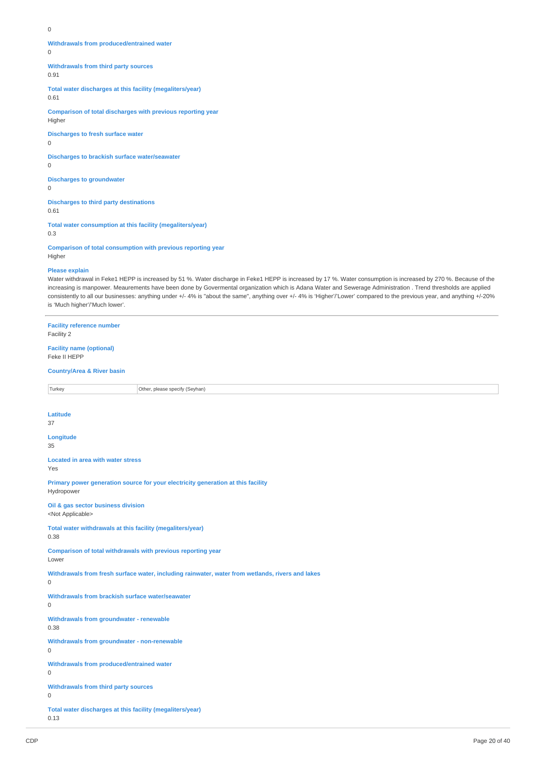0

**Withdrawals from produced/entrained water**

 $\Omega$ 

**Withdrawals from third party sources**

0.91

**Total water discharges at this facility (megaliters/year)** 0.61

**Comparison of total discharges with previous reporting year** Higher

**Discharges to fresh surface water**  $\Omega$ 

**Discharges to brackish surface water/seawater**

0

**Discharges to groundwater** 0

**Discharges to third party destinations** 0.61

**Total water consumption at this facility (megaliters/year)** 0.3

**Comparison of total consumption with previous reporting year** Higher

# **Please explain**

Water withdrawal in Feke1 HEPP is increased by 51 %. Water discharge in Feke1 HEPP is increased by 17 %. Water consumption is increased by 270 %. Because of the increasing is manpower. Meaurements have been done by Govermental organization which is Adana Water and Sewerage Administration . Trend thresholds are applied consistently to all our businesses: anything under +/- 4% is "about the same", anything over +/- 4% is 'Higher'/'Lower' compared to the previous year, and anything +/-20% is 'Much higher'/'Much lower'.

| <b>Facility reference number</b><br>Facility 2                                                        |                                                                                  |  |  |
|-------------------------------------------------------------------------------------------------------|----------------------------------------------------------------------------------|--|--|
| <b>Facility name (optional)</b><br>Feke II HEPP                                                       |                                                                                  |  |  |
| <b>Country/Area &amp; River basin</b>                                                                 |                                                                                  |  |  |
| Turkey                                                                                                | Other, please specify (Seyhan)                                                   |  |  |
| <b>Latitude</b><br>37                                                                                 |                                                                                  |  |  |
| Longitude<br>35                                                                                       |                                                                                  |  |  |
| <b>Located in area with water stress</b><br>Yes                                                       |                                                                                  |  |  |
| Hydropower                                                                                            | Primary power generation source for your electricity generation at this facility |  |  |
| Oil & gas sector business division<br><not applicable=""></not>                                       |                                                                                  |  |  |
| 0.38                                                                                                  | Total water withdrawals at this facility (megaliters/year)                       |  |  |
| Comparison of total withdrawals with previous reporting year<br>Lower                                 |                                                                                  |  |  |
| Withdrawals from fresh surface water, including rainwater, water from wetlands, rivers and lakes<br>0 |                                                                                  |  |  |
| Withdrawals from brackish surface water/seawater<br>0                                                 |                                                                                  |  |  |
| <b>Withdrawals from groundwater - renewable</b><br>0.38                                               |                                                                                  |  |  |
| Withdrawals from groundwater - non-renewable<br>0                                                     |                                                                                  |  |  |
| Withdrawals from produced/entrained water<br>0                                                        |                                                                                  |  |  |
| <b>Withdrawals from third party sources</b><br>0                                                      |                                                                                  |  |  |
| Total water discharges at this facility (megaliters/year)<br>0.13                                     |                                                                                  |  |  |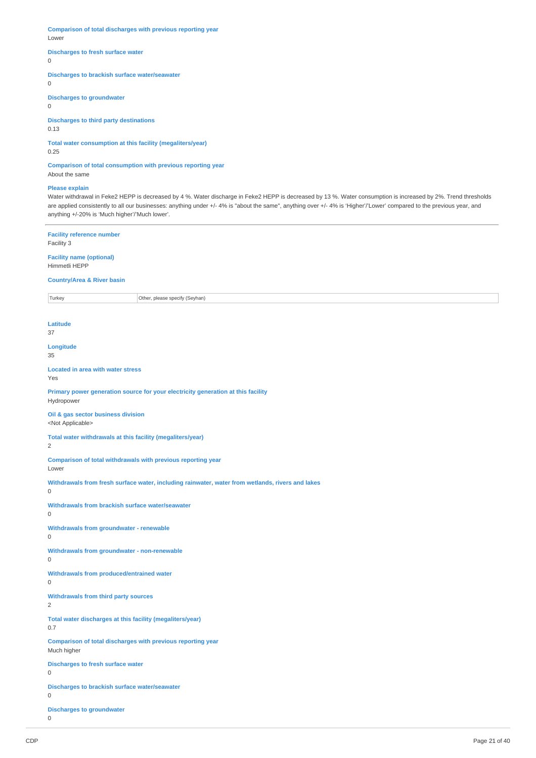**Comparison of total discharges with previous reporting year** Lower

#### **Discharges to fresh surface water**

0

#### **Discharges to brackish surface water/seawater**

 $\overline{0}$ 

# **Discharges to groundwater**

0

# **Discharges to third party destinations**

0.13

# **Total water consumption at this facility (megaliters/year)**

0.25

**Comparison of total consumption with previous reporting year** About the same

# **Please explain**

Water withdrawal in Feke2 HEPP is decreased by 4 %. Water discharge in Feke2 HEPP is decreased by 13 %. Water consumption is increased by 2%. Trend thresholds are applied consistently to all our businesses: anything under +/- 4% is "about the same", anything over +/- 4% is 'Higher'/'Lower' compared to the previous year, and anything +/-20% is 'Much higher'/'Much lower'.

# **Facility reference number**

Facility 3

**Facility name (optional)** Himmetli HEPP

### **Country/Area & River basin**

Turkey **Other, please specify (Seyhan)** 

**Latitude**

37

**Longitude** 35

#### **Located in area with water stress** Yes

**Primary power generation source for your electricity generation at this facility** Hydropower

#### **Oil & gas sector business division** <Not Applicable>

**Total water withdrawals at this facility (megaliters/year)**

2

**Comparison of total withdrawals with previous reporting year**

Lower

**Withdrawals from fresh surface water, including rainwater, water from wetlands, rivers and lakes**

 $\Omega$ 

**Withdrawals from brackish surface water/seawater**

```
\Omega
```
**Withdrawals from groundwater - renewable**  $\Omega$ 

**Withdrawals from groundwater - non-renewable**

 $\Omega$ 

**Withdrawals from produced/entrained water**

 $\Omega$ 

**Withdrawals from third party sources**

 $\overline{2}$ 

**Total water discharges at this facility (megaliters/year)** 0.7

**Comparison of total discharges with previous reporting year** Much higher

**Discharges to fresh surface water**

 $\overline{0}$ 

**Discharges to brackish surface water/seawater**  $\Omega$ 

**Discharges to groundwater**

<sup>0</sup>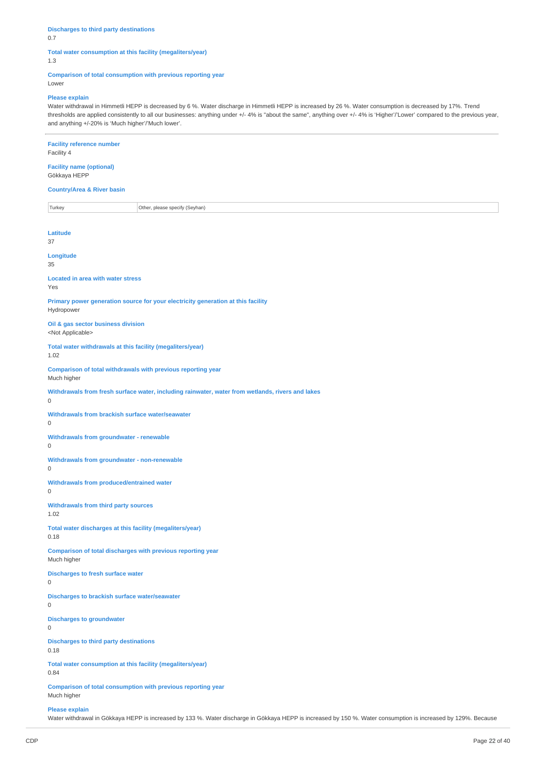#### **Discharges to third party destinations** 0.7

# **Total water consumption at this facility (megaliters/year)** 1.3

# **Comparison of total consumption with previous reporting year**

Lower

# **Please explain**

Water withdrawal in Himmetli HEPP is decreased by 6 %. Water discharge in Himmetli HEPP is increased by 26 %. Water consumption is decreased by 17%. Trend thresholds are applied consistently to all our businesses: anything under +/- 4% is "about the same", anything over +/- 4% is 'Higher'/'Lower' compared to the previous year, and anything +/-20% is 'Much higher'/'Much lower'.

| <b>Facility reference number</b><br>Facility 4                                                                  |  |  |  |
|-----------------------------------------------------------------------------------------------------------------|--|--|--|
| <b>Facility name (optional)</b><br>Gökkaya HEPP                                                                 |  |  |  |
| <b>Country/Area &amp; River basin</b>                                                                           |  |  |  |
| Turkey<br>Other, please specify (Seyhan)                                                                        |  |  |  |
|                                                                                                                 |  |  |  |
| Latitude<br>37                                                                                                  |  |  |  |
| Longitude<br>35                                                                                                 |  |  |  |
| <b>Located in area with water stress</b><br>Yes                                                                 |  |  |  |
| Primary power generation source for your electricity generation at this facility<br>Hydropower                  |  |  |  |
| Oil & gas sector business division<br><not applicable=""></not>                                                 |  |  |  |
| Total water withdrawals at this facility (megaliters/year)<br>1.02                                              |  |  |  |
| Comparison of total withdrawals with previous reporting year<br>Much higher                                     |  |  |  |
| Withdrawals from fresh surface water, including rainwater, water from wetlands, rivers and lakes<br>$\mathbf 0$ |  |  |  |
| Withdrawals from brackish surface water/seawater<br>0                                                           |  |  |  |
| Withdrawals from groundwater - renewable<br>$\mathbf 0$                                                         |  |  |  |
| Withdrawals from groundwater - non-renewable<br>$\mathsf{O}\xspace$                                             |  |  |  |
| Withdrawals from produced/entrained water<br>$\mathsf 0$                                                        |  |  |  |
| <b>Withdrawals from third party sources</b><br>1.02                                                             |  |  |  |
| Total water discharges at this facility (megaliters/year)<br>0.18                                               |  |  |  |
| Comparison of total discharges with previous reporting year<br>Much higher                                      |  |  |  |
| <b>Discharges to fresh surface water</b><br>$\mathsf 0$                                                         |  |  |  |
| Discharges to brackish surface water/seawater<br>0                                                              |  |  |  |
| <b>Discharges to groundwater</b><br>$\mathsf 0$                                                                 |  |  |  |
| <b>Discharges to third party destinations</b><br>0.18                                                           |  |  |  |
| Total water consumption at this facility (megaliters/year)<br>0.84                                              |  |  |  |
| Comparison of total consumption with previous reporting year<br>Much higher                                     |  |  |  |
| <b>Please explain</b>                                                                                           |  |  |  |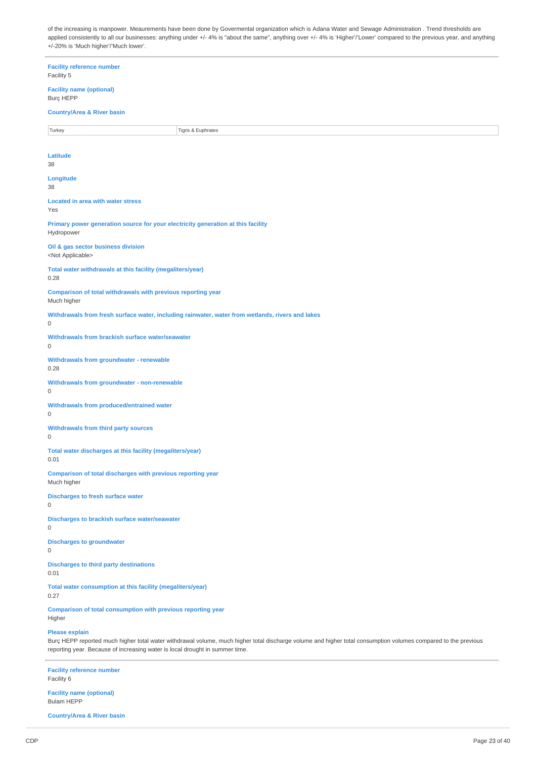of the increasing is manpower. Meaurements have been done by Govermental organization which is Adana Water and Sewage Administration . Trend thresholds are applied consistently to all our businesses: anything under +/- 4% is "about the same", anything over +/- 4% is 'Higher'/'Lower' compared to the previous year, and anything +/-20% is 'Much higher'/'Much lower'.

| <b>Facility reference number</b><br>Facility 5                                                                                                                                                                                                                          |
|-------------------------------------------------------------------------------------------------------------------------------------------------------------------------------------------------------------------------------------------------------------------------|
| <b>Facility name (optional)</b><br><b>Burç HEPP</b>                                                                                                                                                                                                                     |
| <b>Country/Area &amp; River basin</b>                                                                                                                                                                                                                                   |
| Turkey<br>Tigris & Euphrates                                                                                                                                                                                                                                            |
|                                                                                                                                                                                                                                                                         |
| Latitude<br>38                                                                                                                                                                                                                                                          |
| Longitude                                                                                                                                                                                                                                                               |
| 38                                                                                                                                                                                                                                                                      |
| <b>Located in area with water stress</b><br>Yes                                                                                                                                                                                                                         |
| Primary power generation source for your electricity generation at this facility<br>Hydropower                                                                                                                                                                          |
| Oil & gas sector business division<br><not applicable=""></not>                                                                                                                                                                                                         |
| Total water withdrawals at this facility (megaliters/year)<br>0.28                                                                                                                                                                                                      |
| Comparison of total withdrawals with previous reporting year<br>Much higher                                                                                                                                                                                             |
| Withdrawals from fresh surface water, including rainwater, water from wetlands, rivers and lakes<br>$\mathsf 0$                                                                                                                                                         |
| Withdrawals from brackish surface water/seawater<br>$\mathsf 0$                                                                                                                                                                                                         |
| Withdrawals from groundwater - renewable<br>0.28                                                                                                                                                                                                                        |
| Withdrawals from groundwater - non-renewable<br>0                                                                                                                                                                                                                       |
| Withdrawals from produced/entrained water<br>0                                                                                                                                                                                                                          |
| <b>Withdrawals from third party sources</b><br>$\mathbf 0$                                                                                                                                                                                                              |
| Total water discharges at this facility (megaliters/year)<br>0.01                                                                                                                                                                                                       |
| <b>Comparison of total discharges with previous reporting year</b><br>Much higher                                                                                                                                                                                       |
| <b>Discharges to fresh surface water</b><br>0                                                                                                                                                                                                                           |
| <b>Discharges to brackish surface water/seawater</b><br>0                                                                                                                                                                                                               |
| <b>Discharges to groundwater</b><br>0                                                                                                                                                                                                                                   |
| <b>Discharges to third party destinations</b><br>0.01                                                                                                                                                                                                                   |
| Total water consumption at this facility (megaliters/year)<br>0.27                                                                                                                                                                                                      |
| Comparison of total consumption with previous reporting year<br>Higher                                                                                                                                                                                                  |
| <b>Please explain</b><br>Burç HEPP reported much higher total water withdrawal volume, much higher total discharge volume and higher total consumption volumes compared to the previous<br>reporting year. Because of increasing water is local drought in summer time. |
| <b>Facility reference number</b><br>Facility 6                                                                                                                                                                                                                          |
| <b>Facility name (optional)</b>                                                                                                                                                                                                                                         |

Bulam HEPP

**Country/Area & River basin**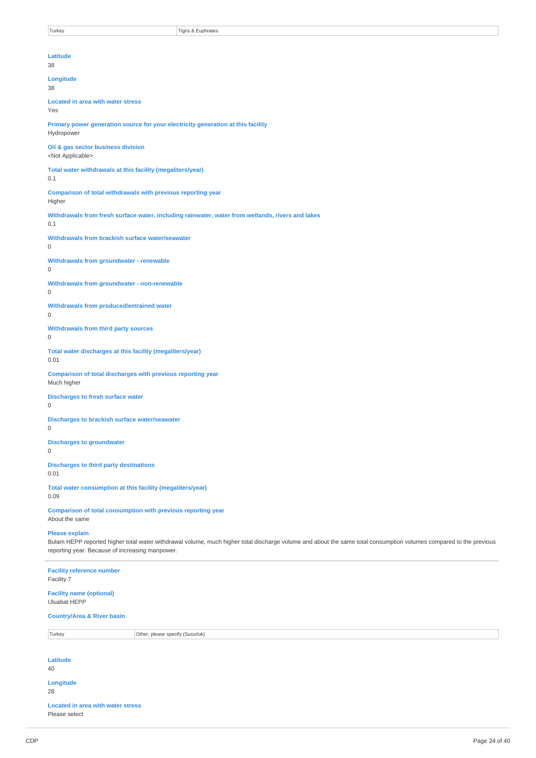| Turkey                                                                                                                                                                                                                                         | Tigris & Euphrates                                                                               |  |  |
|------------------------------------------------------------------------------------------------------------------------------------------------------------------------------------------------------------------------------------------------|--------------------------------------------------------------------------------------------------|--|--|
|                                                                                                                                                                                                                                                |                                                                                                  |  |  |
| Latitude<br>38                                                                                                                                                                                                                                 |                                                                                                  |  |  |
| Longitude<br>38                                                                                                                                                                                                                                |                                                                                                  |  |  |
| <b>Located in area with water stress</b><br>Yes                                                                                                                                                                                                |                                                                                                  |  |  |
| Hydropower                                                                                                                                                                                                                                     | Primary power generation source for your electricity generation at this facility                 |  |  |
| Oil & gas sector business division<br><not applicable=""></not>                                                                                                                                                                                |                                                                                                  |  |  |
| Total water withdrawals at this facility (megaliters/year)<br>0.1                                                                                                                                                                              |                                                                                                  |  |  |
| Higher                                                                                                                                                                                                                                         | Comparison of total withdrawals with previous reporting year                                     |  |  |
| 0.1                                                                                                                                                                                                                                            | Withdrawals from fresh surface water, including rainwater, water from wetlands, rivers and lakes |  |  |
| Withdrawals from brackish surface water/seawater<br>$\mathbf{0}$                                                                                                                                                                               |                                                                                                  |  |  |
| <b>Withdrawals from groundwater - renewable</b><br>$\mathsf 0$                                                                                                                                                                                 |                                                                                                  |  |  |
| Withdrawals from groundwater - non-renewable<br>$\mathbf 0$                                                                                                                                                                                    |                                                                                                  |  |  |
| Withdrawals from produced/entrained water<br>$\mathbf 0$                                                                                                                                                                                       |                                                                                                  |  |  |
| $\boldsymbol{0}$                                                                                                                                                                                                                               | Withdrawals from third party sources                                                             |  |  |
| Total water discharges at this facility (megaliters/year)<br>0.01                                                                                                                                                                              |                                                                                                  |  |  |
| Much higher                                                                                                                                                                                                                                    | Comparison of total discharges with previous reporting year                                      |  |  |
| $\mathbf 0$                                                                                                                                                                                                                                    | <b>Discharges to fresh surface water</b>                                                         |  |  |
| <b>Discharges to brackish surface water/seawater</b><br>O                                                                                                                                                                                      |                                                                                                  |  |  |
| <b>Discharges to groundwater</b><br>0                                                                                                                                                                                                          |                                                                                                  |  |  |
| <b>Discharges to third party destinations</b><br>0.01                                                                                                                                                                                          |                                                                                                  |  |  |
| Total water consumption at this facility (megaliters/year)<br>0.09                                                                                                                                                                             |                                                                                                  |  |  |
| About the same                                                                                                                                                                                                                                 | Comparison of total consumption with previous reporting year                                     |  |  |
| <b>Please explain</b><br>Bulam HEPP reported higher total water withdrawal volume, much higher total discharge volume and about the same total consumption volumes compared to the previous<br>reporting year. Because of increasing manpower. |                                                                                                  |  |  |
| <b>Facility reference number</b><br>Facility 7                                                                                                                                                                                                 |                                                                                                  |  |  |
| <b>Facility name (optional)</b><br><b>Uluabat HEPP</b>                                                                                                                                                                                         |                                                                                                  |  |  |
| <b>Country/Area &amp; River basin</b>                                                                                                                                                                                                          |                                                                                                  |  |  |
| Turkey                                                                                                                                                                                                                                         | Other, please specify (Susurluk)                                                                 |  |  |
| Latitude<br>40                                                                                                                                                                                                                                 |                                                                                                  |  |  |
| Longitude<br>28                                                                                                                                                                                                                                |                                                                                                  |  |  |
| Located in area with water stress                                                                                                                                                                                                              |                                                                                                  |  |  |

Please select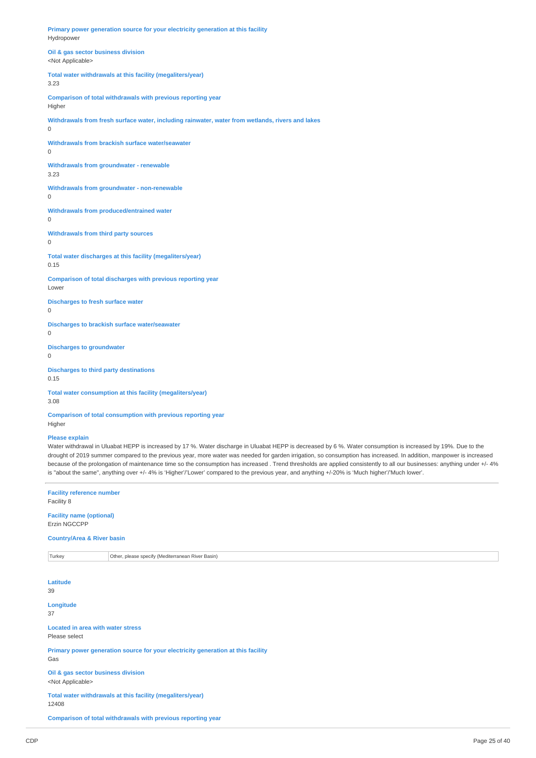**Primary power generation source for your electricity generation at this facility** Hydropower

**Oil & gas sector business division** <Not Applicable>

**Total water withdrawals at this facility (megaliters/year)**

3.23

**Comparison of total withdrawals with previous reporting year** Higher

**Withdrawals from fresh surface water, including rainwater, water from wetlands, rivers and lakes**

**Withdrawals from brackish surface water/seawater**

0

0

**Withdrawals from groundwater - renewable** 3.23

**Withdrawals from groundwater - non-renewable**

 $\Omega$ 

**Withdrawals from produced/entrained water** 0

**Withdrawals from third party sources**  $\overline{0}$ 

**Total water discharges at this facility (megaliters/year)** 0.15

**Comparison of total discharges with previous reporting year** Lower

**Discharges to fresh surface water**

0

**Discharges to brackish surface water/seawater** 0

**Discharges to groundwater**  $\theta$ 

**Discharges to third party destinations** 0.15

**Total water consumption at this facility (megaliters/year)** 3.08

**Comparison of total consumption with previous reporting year** Higher

### **Please explain**

Water withdrawal in Uluabat HEPP is increased by 17 %. Water discharge in Uluabat HEPP is decreased by 6 %. Water consumption is increased by 19%. Due to the drought of 2019 summer compared to the previous year, more water was needed for garden irrigation, so consumption has increased. In addition, manpower is increased because of the prolongation of maintenance time so the consumption has increased . Trend thresholds are applied consistently to all our businesses: anything under +/- 4% is "about the same", anything over +/- 4% is 'Higher'/'Lower' compared to the previous year, and anything +/-20% is 'Much higher'/'Much lower'.

**Facility reference number** Facility 8

**Facility name (optional)** Erzin NGCCPP

**Country/Area & River basin**

Turkey **Other, please specify (Mediterranean River Basin)** 

**Latitude** 39 **Longitude** 37 **Located in area with water stress** Please select **Primary power generation source for your electricity generation at this facility** Gas **Oil & gas sector business division**

<Not Applicable>

**Total water withdrawals at this facility (megaliters/year)** 12408

**Comparison of total withdrawals with previous reporting year**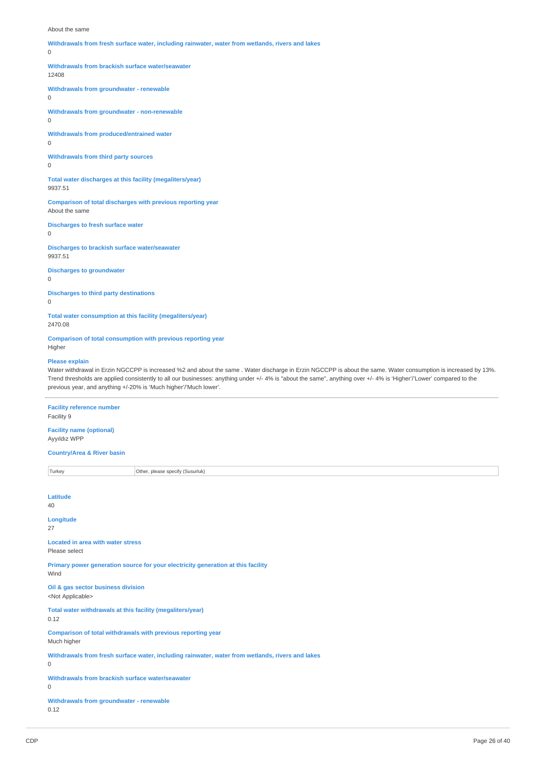#### About the same

**Withdrawals from fresh surface water, including rainwater, water from wetlands, rivers and lakes**  $\Omega$ **Withdrawals from brackish surface water/seawater** 12408 **Withdrawals from groundwater - renewable** 0 **Withdrawals from groundwater - non-renewable**  $\Omega$ **Withdrawals from produced/entrained water**  $\overline{0}$ **Withdrawals from third party sources** 0 **Total water discharges at this facility (megaliters/year)** 9937.51 **Comparison of total discharges with previous reporting year** About the same **Discharges to fresh surface water**  $\Omega$ **Discharges to brackish surface water/seawater** 9937.51 **Discharges to groundwater** 0 **Discharges to third party destinations**  $\Omega$ **Total water consumption at this facility (megaliters/year)** 2470.08 **Comparison of total consumption with previous reporting year**

Higher

#### **Please explain**

Water withdrawal in Erzin NGCCPP is increased %2 and about the same . Water discharge in Erzin NGCCPP is about the same. Water consumption is increased by 13%. Trend thresholds are applied consistently to all our businesses: anything under +/- 4% is "about the same", anything over +/- 4% is 'Higher'/'Lower' compared to the previous year, and anything +/-20% is 'Much higher'/'Much lower'.

**Facility reference number** Facility 9

**Facility name (optional)** Ayyıldız WPP

**Country/Area & River basin**

Turkey **Other, please specify (Susurluk)** 

| Latitude<br>40                                                                                        |
|-------------------------------------------------------------------------------------------------------|
| Longitude<br>27                                                                                       |
| <b>Located in area with water stress</b><br>Please select                                             |
| Primary power generation source for your electricity generation at this facility<br>Wind              |
| Oil & gas sector business division<br><not applicable=""></not>                                       |
| Total water withdrawals at this facility (megaliters/year)<br>0.12                                    |
| Comparison of total withdrawals with previous reporting year<br>Much higher                           |
| Withdrawals from fresh surface water, including rainwater, water from wetlands, rivers and lakes<br>0 |
| Withdrawals from brackish surface water/seawater<br>0                                                 |
| Withdrawals from groundwater - renewable<br>0.12                                                      |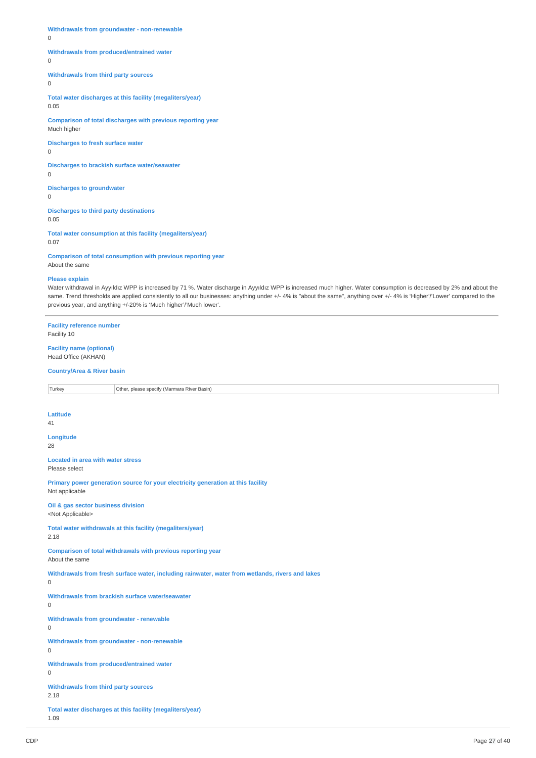**Withdrawals from groundwater - non-renewable**

0

# **Withdrawals from produced/entrained water**

0

**Withdrawals from third party sources**

 $\overline{0}$ 

**Total water discharges at this facility (megaliters/year)** 0.05

**Comparison of total discharges with previous reporting year** Much higher

**Discharges to fresh surface water**

0

**Discharges to brackish surface water/seawater** 0

**Discharges to groundwater**  $\Omega$ 

**Discharges to third party destinations** 0.05

**Total water consumption at this facility (megaliters/year)** 0.07

**Comparison of total consumption with previous reporting year** About the same

#### **Please explain**

Water withdrawal in Ayyıldız WPP is increased by 71 %. Water discharge in Ayyıldız WPP is increased much higher. Water consumption is decreased by 2% and about the same. Trend thresholds are applied consistently to all our businesses: anything under +/- 4% is "about the same", anything over +/- 4% is 'Higher'/'Lower' compared to the previous year, and anything +/-20% is 'Much higher'/'Much lower'.

**Facility reference number** Facility 10 **Facility name (optional)** Head Office (AKHAN) **Country/Area & River basin** Turkey **Other, please specify (Marmara River Basin) Latitude**  $\overline{41}$ **Longitude** 28 **Located in area with water stress** Please select **Primary power generation source for your electricity generation at this facility** Not applicable **Oil & gas sector business division** <Not Applicable> **Total water withdrawals at this facility (megaliters/year)** 2.18 **Comparison of total withdrawals with previous reporting year** About the same **Withdrawals from fresh surface water, including rainwater, water from wetlands, rivers and lakes**  $\Omega$ **Withdrawals from brackish surface water/seawater**  $\Omega$ **Withdrawals from groundwater - renewable**  $\overline{0}$ **Withdrawals from groundwater - non-renewable**  $\Omega$ **Withdrawals from produced/entrained water**  $\overline{0}$ **Withdrawals from third party sources** 2.18 **Total water discharges at this facility (megaliters/year)** 1.09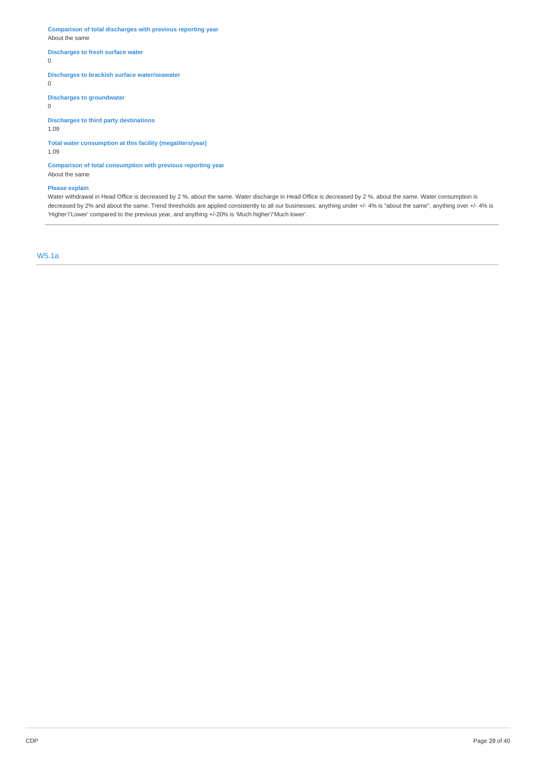**Comparison of total discharges with previous reporting year** About the same

# **Discharges to fresh surface water**

0

# **Discharges to brackish surface water/seawater**

0

**Discharges to groundwater**

0

# **Discharges to third party destinations**

1.09

# **Total water consumption at this facility (megaliters/year)**

1.09

### **Comparison of total consumption with previous reporting year** About the same

### **Please explain**

Water withdrawal in Head Office is decreased by 2 %, about the same. Water discharge in Head Office is decreased by 2 %, about the same. Water consumption is decreased by 2% and about the same. Trend thresholds are applied consistently to all our businesses: anything under +/- 4% is "about the same", anything over +/- 4% is 'Higher'/'Lower' compared to the previous year, and anything +/-20% is 'Much higher'/'Much lower'.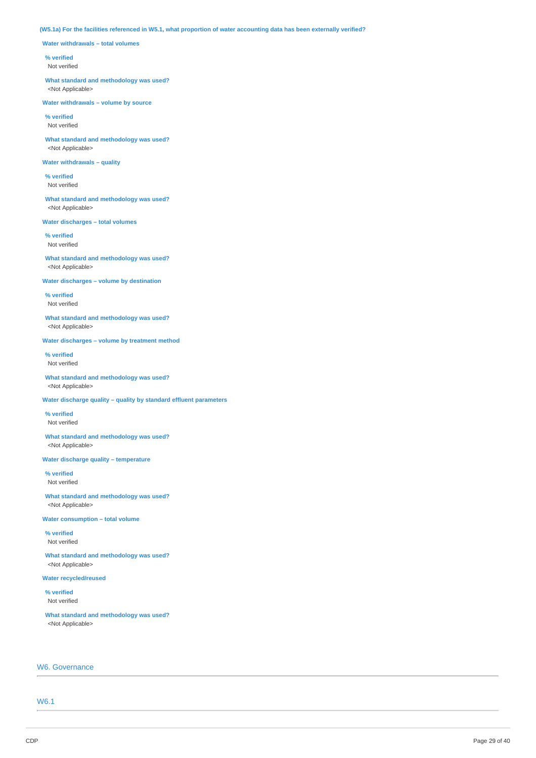# (W5.1a) For the facilities referenced in W5.1, what proportion of water accounting data has been externally verified?

**Water withdrawals – total volumes**

### **% verified**

Not verified

**What standard and methodology was used?** <Not Applicable>

**Water withdrawals – volume by source**

**% verified** Not verified

**What standard and methodology was used?** <Not Applicable>

# **Water withdrawals – quality**

**% verified** Not verified

**What standard and methodology was used?** <Not Applicable>

**Water discharges – total volumes**

**% verified** Not verified

**What standard and methodology was used?** <Not Applicable>

**Water discharges – volume by destination**

**% verified** Not verified

**What standard and methodology was used?** <Not Applicable>

**Water discharges – volume by treatment method**

**% verified** Not verified

**What standard and methodology was used?** <Not Applicable>

**Water discharge quality – quality by standard effluent parameters**

**% verified** Not verified

**What standard and methodology was used?** <Not Applicable>

**Water discharge quality – temperature**

**% verified** Not verified

**What standard and methodology was used?** <Not Applicable>

**Water consumption – total volume**

**% verified** Not verified

**What standard and methodology was used?** <Not Applicable>

**Water recycled/reused**

**% verified** Not verified

**What standard and methodology was used?** <Not Applicable>

# W6. Governance

W6.1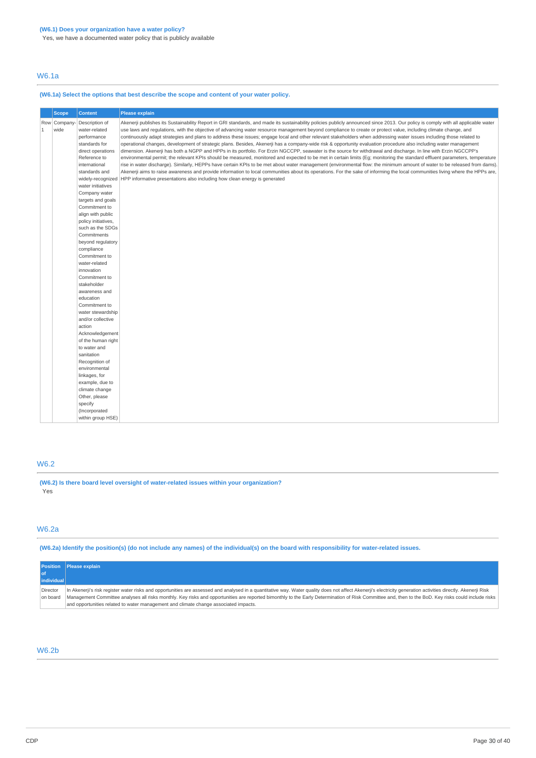Yes, we have a documented water policy that is publicly available

# W6.1a

# **(W6.1a) Select the options that best describe the scope and content of your water policy.**

|   | <b>Scope</b>         | <b>Content</b>                                                                                                                                                                                                                                                                                                                                                                                                                                                                                                                                                                                                                                                                                                      | Please explain                                                                                                                                                                                                                                                                                                                                                                                                                                                                                                                                                                                                                                                                                                                                                                                                                                                                                                                                                                                                                                                                                                                                                                                                                                                                                                                                                                                                                                                                                                         |
|---|----------------------|---------------------------------------------------------------------------------------------------------------------------------------------------------------------------------------------------------------------------------------------------------------------------------------------------------------------------------------------------------------------------------------------------------------------------------------------------------------------------------------------------------------------------------------------------------------------------------------------------------------------------------------------------------------------------------------------------------------------|------------------------------------------------------------------------------------------------------------------------------------------------------------------------------------------------------------------------------------------------------------------------------------------------------------------------------------------------------------------------------------------------------------------------------------------------------------------------------------------------------------------------------------------------------------------------------------------------------------------------------------------------------------------------------------------------------------------------------------------------------------------------------------------------------------------------------------------------------------------------------------------------------------------------------------------------------------------------------------------------------------------------------------------------------------------------------------------------------------------------------------------------------------------------------------------------------------------------------------------------------------------------------------------------------------------------------------------------------------------------------------------------------------------------------------------------------------------------------------------------------------------------|
| 1 | Row Company-<br>wide | Description of<br>water-related<br>performance<br>standards for<br>direct operations<br>Reference to<br>international<br>standards and<br>water initiatives<br>Company water<br>targets and goals<br>Commitment to<br>align with public<br>policy initiatives,<br>such as the SDGs<br>Commitments<br>beyond regulatory<br>compliance<br>Commitment to<br>water-related<br>innovation<br>Commitment to<br>stakeholder<br>awareness and<br>education<br>Commitment to<br>water stewardship<br>and/or collective<br>action<br>Acknowledgement<br>of the human right<br>to water and<br>sanitation<br>Recognition of<br>environmental<br>linkages, for<br>example, due to<br>climate change<br>Other, please<br>specify | Akenerji publishes its Sustainability Report in GRI standards, and made its sustainability policies publicly announced since 2013. Our policy is comply with all applicable water<br>use laws and requlations, with the objective of advancing water resource management beyond compliance to create or protect value, including climate change, and<br>continuously adapt strategies and plans to address these issues; engage local and other relevant stakeholders when addressing water issues including those related to<br>operational changes, development of strategic plans. Besides, Akenerji has a company-wide risk & opportunity evaluation procedure also including water management<br>dimension. Akenerji has both a NGPP and HPPs in its portfolio. For Erzin NGCCPP, seawater is the source for withdrawal and discharge. In line with Erzin NGCCPP's<br>environmental permit; the relevant KPIs should be measured, monitored and expected to be met in certain limits (Eq; monitoring the standard effluent parameters, temperature<br>rise in water discharge). Similarly, HEPPs have certain KPIs to be met about water management (environmental flow: the minimum amount of water to be released from dams).<br>Akenerji aims to raise awareness and provide information to local communities about its operations. For the sake of informing the local communities living where the HPPs are,<br>widely-recognized HPP informative presentations also including how clean energy is generated |
|   |                      | (Incorporated<br>within group HSE)                                                                                                                                                                                                                                                                                                                                                                                                                                                                                                                                                                                                                                                                                  |                                                                                                                                                                                                                                                                                                                                                                                                                                                                                                                                                                                                                                                                                                                                                                                                                                                                                                                                                                                                                                                                                                                                                                                                                                                                                                                                                                                                                                                                                                                        |

# W6.2

**(W6.2) Is there board level oversight of water-related issues within your organization?** Yes

# W6.2a

(W6.2a) Identify the position(s) (do not include any names) of the individual(s) on the board with responsibility for water-related issues.

|                      | <b>Position</b> Please explain                                                                                                                                                                                                                                                                                                                                                                                                                                                                                |
|----------------------|---------------------------------------------------------------------------------------------------------------------------------------------------------------------------------------------------------------------------------------------------------------------------------------------------------------------------------------------------------------------------------------------------------------------------------------------------------------------------------------------------------------|
|                      |                                                                                                                                                                                                                                                                                                                                                                                                                                                                                                               |
| individual           |                                                                                                                                                                                                                                                                                                                                                                                                                                                                                                               |
| Director<br>on board | In Akenerji's risk register water risks and opportunities are assessed and analysed in a quantitative way. Water quality does not affect Akenerji's electricity generation activities directly. Akenerji Risk<br>Management Committee analyses all risks monthly. Key risks and opportunities are reported bimonthly to the Early Determination of Risk Committee and, then to the BoD. Key risks could include risks<br>and opportunities related to water management and climate change associated impacts. |

# W6.2b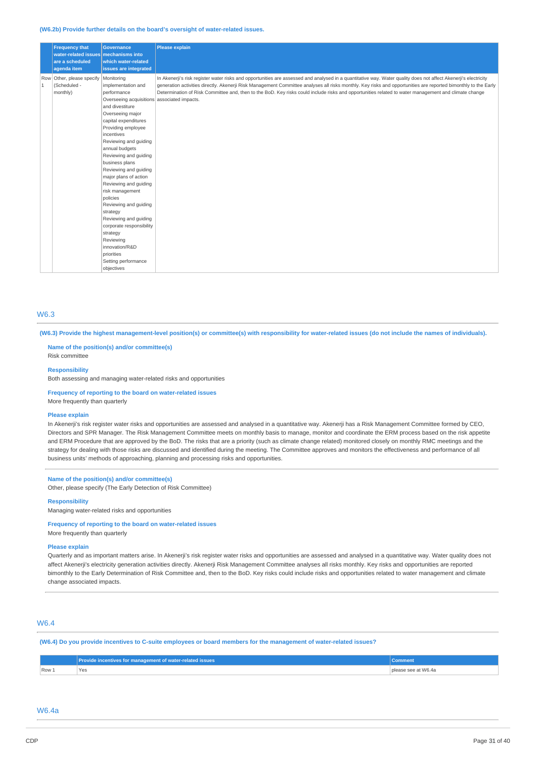#### **(W6.2b) Provide further details on the board's oversight of water-related issues.**

|                | <b>Frequency that</b><br>water-related issues mechanisms into<br>are a scheduled<br>agenda item | <b>Governance</b><br>which water-related<br>issues are integrated                                                                                                                                                                                                                                                                                                                                                                                                                                                                                                                         | <b>Please explain</b>                                                                                                                                                                                                                                                                                                                                                                                                                                                                     |
|----------------|-------------------------------------------------------------------------------------------------|-------------------------------------------------------------------------------------------------------------------------------------------------------------------------------------------------------------------------------------------------------------------------------------------------------------------------------------------------------------------------------------------------------------------------------------------------------------------------------------------------------------------------------------------------------------------------------------------|-------------------------------------------------------------------------------------------------------------------------------------------------------------------------------------------------------------------------------------------------------------------------------------------------------------------------------------------------------------------------------------------------------------------------------------------------------------------------------------------|
| $\overline{1}$ | Row Other, please specify<br>(Scheduled -<br>monthly)                                           | Monitoring<br>implementation and<br>performance<br>Overseeing acquisitions associated impacts.<br>and divestiture<br>Overseeing major<br>capital expenditures<br>Providing employee<br>incentives<br>Reviewing and guiding<br>annual budgets<br>Reviewing and guiding<br>business plans<br>Reviewing and guiding<br>major plans of action<br>Reviewing and guiding<br>risk management<br>policies<br>Reviewing and guiding<br>strategy<br>Reviewing and quiding<br>corporate responsibility<br>strategy<br>Reviewing<br>innovation/R&D<br>priorities<br>Setting performance<br>objectives | In Akenerji's risk register water risks and opportunities are assessed and analysed in a quantitative way. Water quality does not affect Akenerji's electricity<br>generation activities directly. Akenerji Risk Management Committee analyses all risks monthly. Key risks and opportunities are reported bimonthly to the Early<br>Determination of Risk Committee and, then to the BoD. Key risks could include risks and opportunities related to water management and climate change |

# W6.3

(W6.3) Provide the highest management-level position(s) or committee(s) with responsibility for water-related issues (do not include the names of individuals).

### **Name of the position(s) and/or committee(s)** Risk committee

#### **Responsibility**

Both assessing and managing water-related risks and opportunities

# **Frequency of reporting to the board on water-related issues**

More frequently than quarterly

#### **Please explain**

In Akenerji's risk register water risks and opportunities are assessed and analysed in a quantitative way. Akenerji has a Risk Management Committee formed by CEO, Directors and SPR Manager. The Risk Management Committee meets on monthly basis to manage, monitor and coordinate the ERM process based on the risk appetite and ERM Procedure that are approved by the BoD. The risks that are a priority (such as climate change related) monitored closely on monthly RMC meetings and the strategy for dealing with those risks are discussed and identified during the meeting. The Committee approves and monitors the effectiveness and performance of all business units' methods of approaching, planning and processing risks and opportunities.

# **Name of the position(s) and/or committee(s)**

Other, please specify (The Early Detection of Risk Committee)

#### **Responsibility**

Managing water-related risks and opportunities

**Frequency of reporting to the board on water-related issues** More frequently than quarterly

#### **Please explain**

Quarterly and as important matters arise. In Akenerji's risk register water risks and opportunities are assessed and analysed in a quantitative way. Water quality does not affect Akenerji's electricity generation activities directly. Akenerji Risk Management Committee analyses all risks monthly. Key risks and opportunities are reported bimonthly to the Early Determination of Risk Committee and, then to the BoD. Key risks could include risks and opportunities related to water management and climate change associated impacts.

# W6.4

(W6.4) Do you provide incentives to C-suite employees or board members for the management of water-related issues?

|       | 'rovide incentives for management of water-related issues ' | <b>Comment</b>   |
|-------|-------------------------------------------------------------|------------------|
| Row 1 | <b>Yes</b>                                                  | ase see at W6.4a |

# W6.4a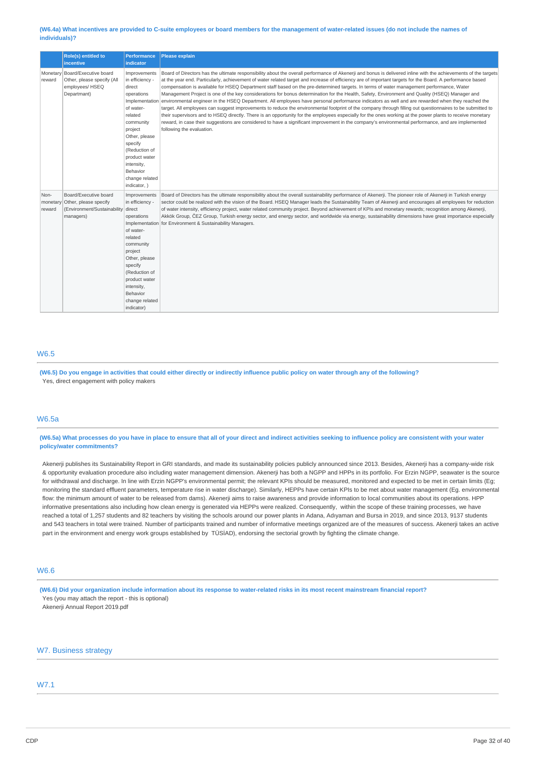#### (W6.4a) What incentives are provided to C-suite employees or board members for the management of water-related issues (do not include the names of **individuals)?**

|                            | Role(s) entitled to<br><b>incentive</b>                                                           | <b>Performance</b><br><b>indicator</b>                                                                                                                                                                                                              | <b>Please explain</b>                                                                                                                                                                                                                                                                                                                                                                                                                                                                                                                                                                                                                                                                                                                                                                                                                                                                                                                                                                                                                                                                                                                                                                                                                                                                       |
|----------------------------|---------------------------------------------------------------------------------------------------|-----------------------------------------------------------------------------------------------------------------------------------------------------------------------------------------------------------------------------------------------------|---------------------------------------------------------------------------------------------------------------------------------------------------------------------------------------------------------------------------------------------------------------------------------------------------------------------------------------------------------------------------------------------------------------------------------------------------------------------------------------------------------------------------------------------------------------------------------------------------------------------------------------------------------------------------------------------------------------------------------------------------------------------------------------------------------------------------------------------------------------------------------------------------------------------------------------------------------------------------------------------------------------------------------------------------------------------------------------------------------------------------------------------------------------------------------------------------------------------------------------------------------------------------------------------|
| Monetary<br>reward         | Board/Executive board<br>Other, please specify (All<br>employees/ HSEQ<br>Departmant)             | Improvements<br>in efficiency -<br>direct<br>operations<br>Implementation<br>of water-<br>related<br>community<br>project<br>Other, please<br>specify<br>(Reduction of<br>product water<br>intensity,<br>Behavior<br>change related<br>indicator, ) | Board of Directors has the ultimate responsibility about the overall performance of Akenerji and bonus is delivered inline with the achievements of the targets<br>at the year end. Particularly, achievement of water related target and increase of efficiency are of important targets for the Board. A performance based<br>compensation is available for HSEQ Department staff based on the pre-determined targets. In terms of water management performance, Water<br>Management Project is one of the key considerations for bonus determination for the Health, Safety, Environment and Quality (HSEQ) Manager and<br>environmental engineer in the HSEQ Department. All employees have personal performance indicators as well and are rewarded when they reached the<br>target. All employees can suggest improvements to reduce the environmental footprint of the company through filling out questionnaires to be submitted to<br>their supervisors and to HSEQ directly. There is an opportunity for the employees especially for the ones working at the power plants to receive monetary<br>reward, in case their suggestions are considered to have a significant improvement in the company's environmental performance, and are implemented<br>following the evaluation. |
| Non-<br>monetary<br>reward | Board/Executive board<br>Other, please specify<br>(Environment/Sustainability direct<br>managers) | Improvements<br>in efficiency -<br>operations<br>Implementation<br>of water-<br>related<br>community<br>project<br>Other, please<br>specify<br>(Reduction of<br>product water<br>intensity,<br>Behavior<br>change related<br>indicator)             | Board of Directors has the ultimate responsibility about the overall sustainability performance of Akenerji. The pioneer role of Akenerji in Turkish energy<br>sector could be realized with the vision of the Board. HSEQ Manager leads the Sustainability Team of Akenerji and encourages all employees for reduction<br>of water intensity, efficiency project, water related community project. Beyond achievement of KPIs and monetary rewards; recognition among Akenerji,<br>Akkök Group, ČEZ Group, Turkish energy sector, and energy sector, and worldwide via energy, sustainability dimensions have great importance especially<br>for Environment & Sustainability Managers.                                                                                                                                                                                                                                                                                                                                                                                                                                                                                                                                                                                                    |

# W6.5

(W6.5) Do you engage in activities that could either directly or indirectly influence public policy on water through any of the following? Yes, direct engagement with policy makers

# W6.5a

# (W6.5a) What processes do you have in place to ensure that all of your direct and indirect activities seeking to influence policy are consistent with your water **policy/water commitments?**

Akenerji publishes its Sustainability Report in GRI standards, and made its sustainability policies publicly announced since 2013. Besides, Akenerji has a company-wide risk & opportunity evaluation procedure also including water management dimension. Akenerji has both a NGPP and HPPs in its portfolio. For Erzin NGPP, seawater is the source for withdrawal and discharge. In line with Erzin NGPP's environmental permit: the relevant KPIs should be measured, monitored and expected to be met in certain limits (Eg: monitoring the standard effluent parameters, temperature rise in water discharge). Similarly, HEPPs have certain KPIs to be met about water management (Eg. environmental flow: the minimum amount of water to be released from dams). Akenerji aims to raise awareness and provide information to local communities about its operations. HPP informative presentations also including how clean energy is generated via HEPPs were realized. Consequently, within the scope of these training processes, we have reached a total of 1,257 students and 82 teachers by visiting the schools around our power plants in Adana, Adıyaman and Bursa in 2019, and since 2013, 9137 students and 543 teachers in total were trained. Number of participants trained and number of informative meetings organized are of the measures of success. Akenerji takes an active part in the environment and energy work groups established by TÜSİAD), endorsing the sectorial growth by fighting the climate change.

# W6.6

(W6.6) Did your organization include information about its response to water-related risks in its most recent mainstream financial report? Yes (you may attach the report - this is optional)

Akenerji Annual Report 2019.pdf

# W7. Business strategy

# W7.1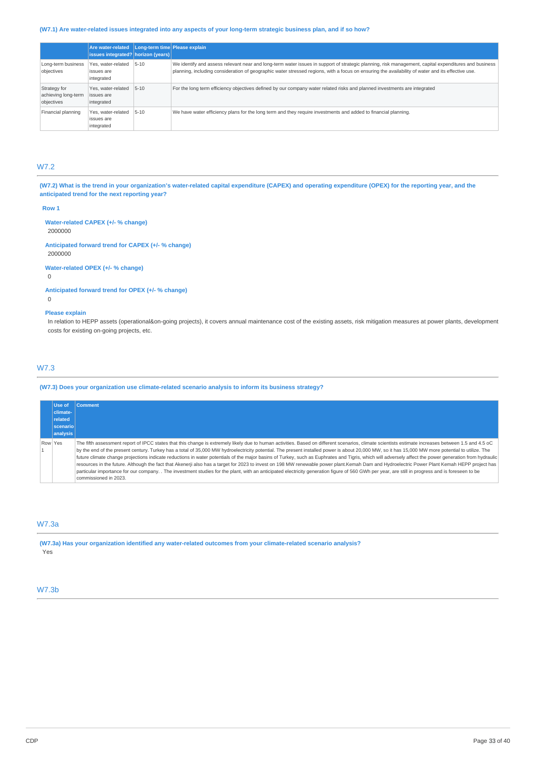# (W7.1) Are water-related issues integrated into any aspects of your long-term strategic business plan, and if so how?

|                                                   | <b>Are water-related</b><br>issues integrated? horizon (years) | Long-term time Please explain |                                                                                                                                                                                                                                                                                                           |
|---------------------------------------------------|----------------------------------------------------------------|-------------------------------|-----------------------------------------------------------------------------------------------------------------------------------------------------------------------------------------------------------------------------------------------------------------------------------------------------------|
| Long-term business<br>objectives                  | Yes, water-related<br>issues are<br>integrated                 | $5 - 10$                      | We identify and assess relevant near and long-term water issues in support of strategic planning, risk management, capital expenditures and business<br>planning, including consideration of geographic water stressed regions, with a focus on ensuring the availability of water and its effective use. |
| Strategy for<br>achieving long-term<br>objectives | Yes, water-related<br>issues are<br>integrated                 | $5 - 10$                      | For the long term efficiency objectives defined by our company water related risks and planned investments are integrated                                                                                                                                                                                 |
| Financial planning                                | Yes, water-related<br>issues are<br>integrated                 | $5 - 10$                      | We have water efficiency plans for the long term and they require investments and added to financial planning.                                                                                                                                                                                            |

# W7.2

(W7.2) What is the trend in your organization's water-related capital expenditure (CAPEX) and operating expenditure (OPEX) for the reporting year, and the **anticipated trend for the next reporting year?**

#### **Row 1**

**Water-related CAPEX (+/- % change)** 2000000

**Anticipated forward trend for CAPEX (+/- % change)** 2000000

**Water-related OPEX (+/- % change)**

0

**Anticipated forward trend for OPEX (+/- % change)** 0

#### **Please explain**

In relation to HEPP assets (operational&on-going projects), it covers annual maintenance cost of the existing assets, risk mitigation measures at power plants, development costs for existing on-going projects, etc.

# W7.3

# **(W7.3) Does your organization use climate-related scenario analysis to inform its business strategy?**

| Use of          | <b>Comment</b>                                                                                                                                                                                         |
|-----------------|--------------------------------------------------------------------------------------------------------------------------------------------------------------------------------------------------------|
| climate-        |                                                                                                                                                                                                        |
| related         |                                                                                                                                                                                                        |
| <b>scenario</b> |                                                                                                                                                                                                        |
| analysis        |                                                                                                                                                                                                        |
| Row Yes         | The fifth assessment report of IPCC states that this change is extremely likely due to human activities. Based on different scenarios, climate scientists estimate increases between 1.5 and 4.5 oC    |
|                 | by the end of the present century. Turkey has a total of 35,000 MW hydroelectricity potential. The present installed power is about 20,000 MW, so it has 15,000 MW more potential to utilize. The      |
|                 | future climate change projections indicate reductions in water potentials of the major basins of Turkey, such as Euphrates and Tigris, which will adversely affect the power generation from hydraulic |
|                 | resources in the future. Although the fact that Akenerji also has a target for 2023 to invest on 198 MW renewable power plant.Kemah Dam and Hydroelectric Power Plant Kemah HEPP project has           |
|                 | particular importance for our company. . The investment studies for the plant, with an anticipated electricity generation figure of 560 GWh per year, are still in progress and is foreseen to be      |
|                 | commissioned in 2023.                                                                                                                                                                                  |

# W7.3a

**(W7.3a) Has your organization identified any water-related outcomes from your climate-related scenario analysis?** Yes

# W7.3b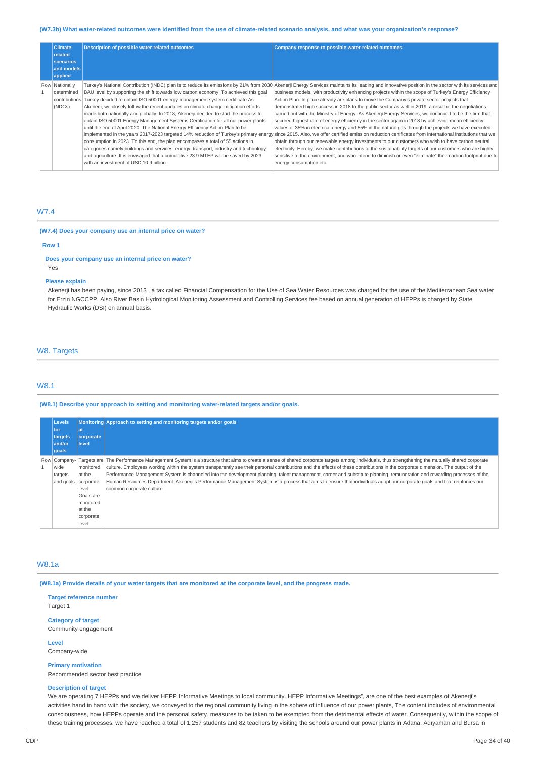# (W7.3b) What water-related outcomes were identified from the use of climate-related scenario analysis, and what was your organization's response?

| <b>Climate-</b><br>related<br>scenarios<br>and models<br>applied | <b>Description of possible water-related outcomes</b>                                                                                                                                                                                                                                                                                                                                                                                                                                                                                                                                                                                                                                                                                                                                                                                                                                                                                     | Company response to possible water-related outcomes                                                                                                                                                                                                                                                                                                                                                                                                                                                                                                                                                                                                                                                                                                                                                                                                                                                                                                                                                                                                                                                                                                                                                                                                                                                           |
|------------------------------------------------------------------|-------------------------------------------------------------------------------------------------------------------------------------------------------------------------------------------------------------------------------------------------------------------------------------------------------------------------------------------------------------------------------------------------------------------------------------------------------------------------------------------------------------------------------------------------------------------------------------------------------------------------------------------------------------------------------------------------------------------------------------------------------------------------------------------------------------------------------------------------------------------------------------------------------------------------------------------|---------------------------------------------------------------------------------------------------------------------------------------------------------------------------------------------------------------------------------------------------------------------------------------------------------------------------------------------------------------------------------------------------------------------------------------------------------------------------------------------------------------------------------------------------------------------------------------------------------------------------------------------------------------------------------------------------------------------------------------------------------------------------------------------------------------------------------------------------------------------------------------------------------------------------------------------------------------------------------------------------------------------------------------------------------------------------------------------------------------------------------------------------------------------------------------------------------------------------------------------------------------------------------------------------------------|
| Row Nationally<br>determined<br>(NDCs)                           | Turkey's National Contribution (INDC) plan is to reduce its emissions by 21% from 2030<br>BAU level by supporting the shift towards low carbon economy. To achieved this goal<br>contributions Turkey decided to obtain ISO 50001 energy management system certificate As<br>Akenerji, we closely follow the recent updates on climate change mitigation efforts<br>made both nationally and globally. In 2018, Akenerji decided to start the process to<br>obtain ISO 50001 Energy Management Systems Certification for all our power plants<br>until the end of April 2020. The National Energy Efficiency Action Plan to be<br>consumption in 2023. To this end, the plan encompases a total of 55 actions in<br>categories namely buildings and services, energy, transport, industry and technology<br>and agriculture. It is envisaged that a cumulative 23.9 MTEP will be saved by 2023<br>with an investment of USD 10.9 billion. | Akenerji Energy Services maintains its leading and innovative position in the sector with its services and<br>business models, with productivity enhancing projects within the scope of Turkey's Energy Efficiency<br>Action Plan. In place already are plans to move the Company's private sector projects that<br>demonstrated high success in 2018 to the public sector as well in 2019, a result of the negotiations<br>carried out with the Ministry of Energy. As Akenerji Energy Services, we continued to be the firm that<br>secured highest rate of energy efficiency in the sector again in 2018 by achieving mean efficiency<br>values of 35% in electrical energy and 55% in the natural gas through the projects we have executed<br>implemented in the years 2017-2023 targeted 14% reduction of Turkey's primary energy since 2015. Also, we offer certified emission reduction certificates from international institutions that we<br>obtain through our renewable energy investments to our customers who wish to have carbon neutral<br>electricity. Hereby, we make contributions to the sustainability targets of our customers who are highly<br>sensitive to the environment, and who intend to diminish or even "eliminate" their carbon footprint due to<br>energy consumption etc. |

# W7.4

# **(W7.4) Does your company use an internal price on water?**

#### **Row 1**

#### **Does your company use an internal price on water?** Yes

#### **Please explain**

Akenerji has been paying, since 2013 , a tax called Financial Compensation for the Use of Sea Water Resources was charged for the use of the Mediterranean Sea water for Erzin NGCCPP. Also River Basin Hydrological Monitoring Assessment and Controlling Services fee based on annual generation of HEPPs is charged by State Hydraulic Works (DSI) on annual basis.

# W8. Targets

# W8.1

### **(W8.1) Describe your approach to setting and monitoring water-related targets and/or goals.**

| Levels<br>for<br>  targets<br>and/or<br>qoals | lat<br>corporate<br>level                                                                           | Monitoring Approach to setting and monitoring targets and/or goals                                                                                                                                                                                                                                                                                                                                                                                                                                                                                                                                                                                                                                                                                                |
|-----------------------------------------------|-----------------------------------------------------------------------------------------------------|-------------------------------------------------------------------------------------------------------------------------------------------------------------------------------------------------------------------------------------------------------------------------------------------------------------------------------------------------------------------------------------------------------------------------------------------------------------------------------------------------------------------------------------------------------------------------------------------------------------------------------------------------------------------------------------------------------------------------------------------------------------------|
| Row Company-<br>wide<br>targets<br>and goals  | monitored<br>at the<br>corporate<br>level<br>Goals are<br>monitored<br>at the<br>corporate<br>level | Targets are The Performance Management System is a structure that aims to create a sense of shared corporate targets among individuals, thus strengthening the mutually shared corporate<br>culture. Employees working within the system transparently see their personal contributions and the effects of these contributions in the corporate dimension. The output of the<br>Performance Management System is channeled into the development planning, talent management, career and substitute planning, remuneration and rewarding processes of the<br>Human Resources Department. Akenerji's Performance Management System is a process that aims to ensure that individuals adopt our corporate goals and that reinforces our<br>common corporate culture. |

### W8.1a

(W8.1a) Provide details of your water targets that are monitored at the corporate level, and the progress made.

**Target reference number** Target 1 **Category of target**

Community engagement

**Level** Company-wide

**Primary motivation** Recommended sector best practice

#### **Description of target**

We are operating 7 HEPPs and we deliver HEPP Informative Meetings to local community. HEPP Informative Meetings", are one of the best examples of Akenerji's activities hand in hand with the society, we conveyed to the regional community living in the sphere of influence of our power plants, The content includes of environmental consciousness, how HEPPs operate and the personal safety. measures to be taken to be exempted from the detrimental effects of water. Consequently, within the scope of these training processes, we have reached a total of 1,257 students and 82 teachers by visiting the schools around our power plants in Adana, Adıyaman and Bursa in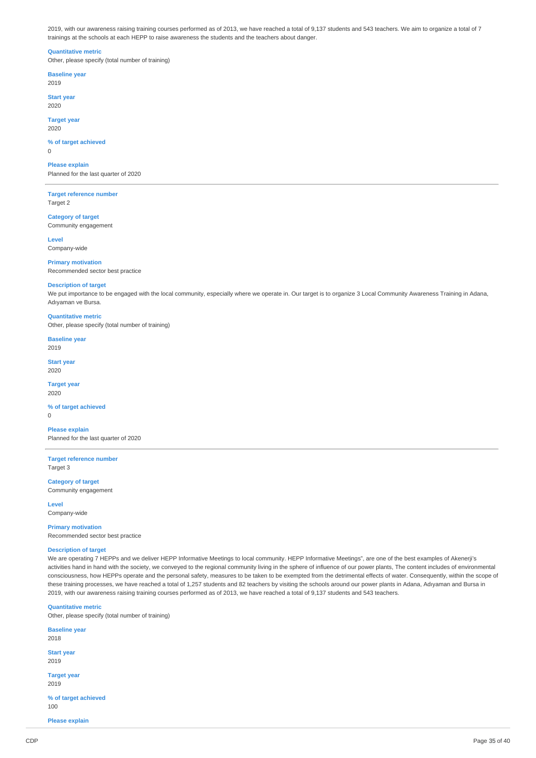2019, with our awareness raising training courses performed as of 2013, we have reached a total of 9,137 students and 543 teachers. We aim to organize a total of 7 trainings at the schools at each HEPP to raise awareness the students and the teachers about danger.

#### **Quantitative metric**

Other, please specify (total number of training)

**Baseline year** 2019

**Start year** 2020

**Target year** 2020

### **% of target achieved**

 $\overline{0}$ 

# **Please explain**

Planned for the last quarter of 2020

**Target reference number** Target 2

**Category of target** Community engagement

**Level** Company-wide

**Primary motivation** Recommended sector best practice

#### **Description of target**

We put importance to be engaged with the local community, especially where we operate in. Our target is to organize 3 Local Community Awareness Training in Adana, Adıyaman ve Bursa.

# **Quantitative metric**

Other, please specify (total number of training)

# **Baseline year**

2019

#### **Start year** 2020

**Target year** 2020

# **% of target achieved**

 $\Omega$ 

**Please explain** Planned for the last quarter of 2020

**Target reference number** Target 3

**Category of target** Community engagement

**Level** Company-wide

# **Primary motivation**

Recommended sector best practice

### **Description of target**

We are operating 7 HEPPs and we deliver HEPP Informative Meetings to local community. HEPP Informative Meetings", are one of the best examples of Akenerji's activities hand in hand with the society, we conveyed to the regional community living in the sphere of influence of our power plants, The content includes of environmental consciousness, how HEPPs operate and the personal safety, measures to be taken to be exempted from the detrimental effects of water. Consequently, within the scope of these training processes, we have reached a total of 1,257 students and 82 teachers by visiting the schools around our power plants in Adana, Adıyaman and Bursa in 2019, with our awareness raising training courses performed as of 2013, we have reached a total of 9,137 students and 543 teachers.

#### **Quantitative metric**

Other, please specify (total number of training)

| <b>Baseline year</b><br>2018 |  |
|------------------------------|--|
| <b>Start year</b><br>2019    |  |
| <b>Target year</b><br>2019   |  |
| % of target achieved<br>100  |  |

**Please explain**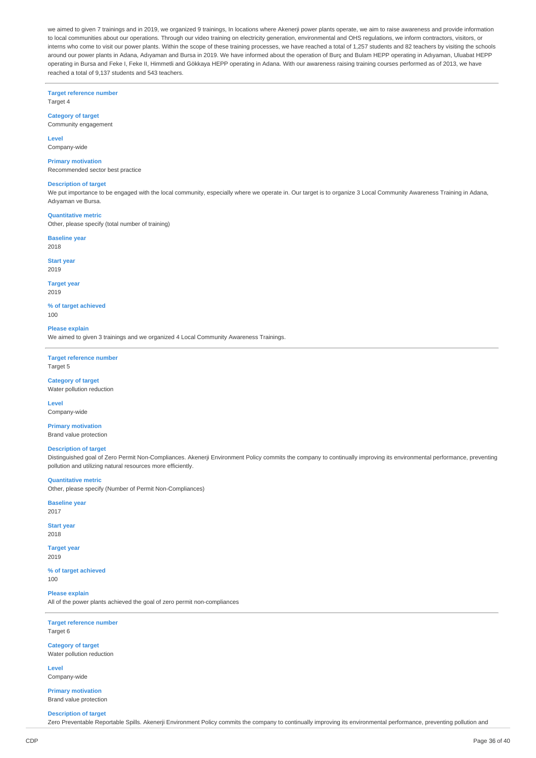we aimed to given 7 trainings and in 2019, we organized 9 trainings, In locations where Akenerji power plants operate, we aim to raise awareness and provide information to local communities about our operations. Through our video training on electricity generation, environmental and OHS regulations, we inform contractors, visitors, or interns who come to visit our power plants. Within the scope of these training processes, we have reached a total of 1,257 students and 82 teachers by visiting the schools around our power plants in Adana, Adıyaman and Bursa in 2019. We have informed about the operation of Burç and Bulam HEPP operating in Adıyaman, Uluabat HEPP operating in Bursa and Feke I, Feke II, Himmetli and Gökkaya HEPP operating in Adana. With our awareness raising training courses performed as of 2013, we have reached a total of 9,137 students and 543 teachers.

**Target reference number**

Target 4

# **Category of target**

Community engagement

#### **Level** Company-wide

**Primary motivation**

Recommended sector best practice

#### **Description of target**

We put importance to be engaged with the local community, especially where we operate in. Our target is to organize 3 Local Community Awareness Training in Adana, Adıyaman ve Bursa.

#### **Quantitative metric**

Other, please specify (total number of training)

**Baseline year** 2018

# **Start year**

2019

# **Target year**

2019

#### **% of target achieved**  $100$

**Please explain**

We aimed to given 3 trainings and we organized 4 Local Community Awareness Trainings.

### **Target reference number** Target 5

**Category of target** Water pollution reduction

**Level**

Company-wide

#### **Primary motivation** Brand value protection

#### **Description of target**

Distinguished goal of Zero Permit Non-Compliances. Akenerji Environment Policy commits the company to continually improving its environmental performance, preventing pollution and utilizing natural resources more efficiently.

# **Quantitative metric**

Other, please specify (Number of Permit Non-Compliances)

# **Baseline year**

2017

**Start year** 2018

#### **Target year** 2019

**% of target achieved** 100

**Please explain**

All of the power plants achieved the goal of zero permit non-compliances

**Target reference number** Target 6

**Category of target** Water pollution reduction

**Level** Company-wide

**Primary motivation** Brand value protection

#### **Description of target**

Zero Preventable Reportable Spills. Akenerji Environment Policy commits the company to continually improving its environmental performance, preventing pollution and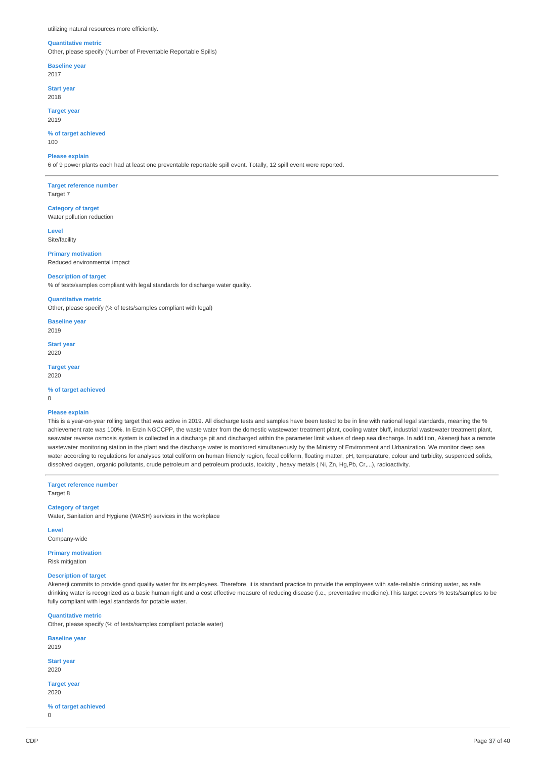utilizing natural resources more efficiently.

#### **Quantitative metric**

Other, please specify (Number of Preventable Reportable Spills)

**Baseline year**

2017

**Start year** 2018

**Target year** 2019

**% of target achieved** 100

#### **Please explain**

6 of 9 power plants each had at least one preventable reportable spill event. Totally, 12 spill event were reported.

**Target reference number** Target 7

**Category of target** Water pollution reduction

**Level** Site/facility

**Primary motivation** Reduced environmental impact

**Description of target**

% of tests/samples compliant with legal standards for discharge water quality.

**Quantitative metric** Other, please specify (% of tests/samples compliant with legal)

**Baseline year** 2019

**Start year** 2020

**Target year** 2020

**% of target achieved**

0

#### **Please explain**

This is a year-on-year rolling target that was active in 2019. All discharge tests and samples have been tested to be in line with national legal standards, meaning the % achievement rate was 100%. In Erzin NGCCPP, the waste water from the domestic wastewater treatment plant, cooling water bluff, industrial wastewater treatment plant, seawater reverse osmosis system is collected in a discharge pit and discharged within the parameter limit values of deep sea discharge. In addition, Akenerji has a remote wastewater monitoring station in the plant and the discharge water is monitored simultaneously by the Ministry of Environment and Urbanization. We monitor deep sea water according to regulations for analyses total coliform on human friendly region, fecal coliform, floating matter, pH, temparature, colour and turbidity, suspended solids, dissolved oxygen, organic pollutants, crude petroleum and petroleum products, toxicity , heavy metals ( Ni, Zn, Hg,Pb, Cr,...), radioactivity.

**Target reference number** Target 8

### **Category of target**

Water, Sanitation and Hygiene (WASH) services in the workplace

**Level** Company-wide

**Primary motivation**

Risk mitigation

# **Description of target**

Akenerji commits to provide good quality water for its employees. Therefore, it is standard practice to provide the employees with safe-reliable drinking water, as safe drinking water is recognized as a basic human right and a cost effective measure of reducing disease (i.e., preventative medicine).This target covers % tests/samples to be fully compliant with legal standards for potable water.

# **Quantitative metric**

Other, please specify (% of tests/samples compliant potable water)

**Baseline year** 2019 **Start year** 2020 **Target year** 2020

**% of target achieved**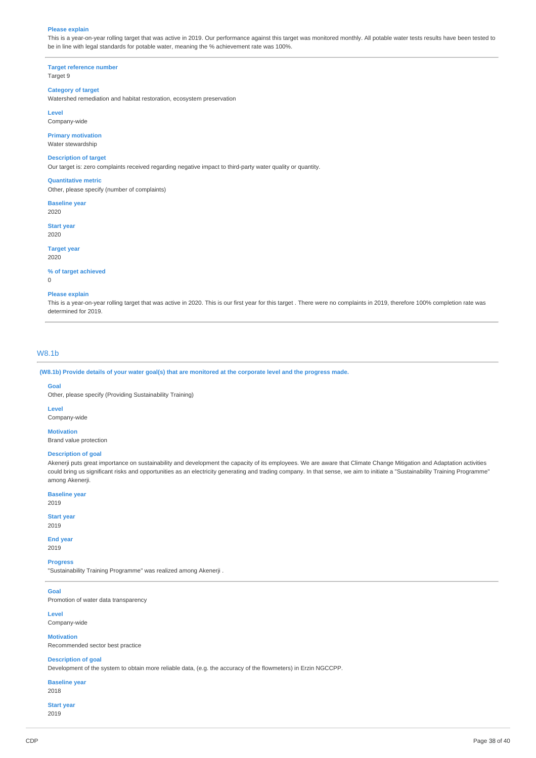#### **Please explain**

This is a year-on-year rolling target that was active in 2019. Our performance against this target was monitored monthly. All potable water tests results have been tested to be in line with legal standards for potable water, meaning the % achievement rate was 100%.

**Target reference number** Target 9

### **Category of target**

Watershed remediation and habitat restoration, ecosystem preservation

**Level**

**Primary motivation**

Company-wide

Water stewardship

#### **Description of target**

Our target is: zero complaints received regarding negative impact to third-party water quality or quantity.

#### **Quantitative metric**

Other, please specify (number of complaints)

**Baseline year** 2020

**Start year** 2020

**Target year**

2020

# **% of target achieved**

 $\overline{0}$ 

#### **Please explain**

This is a year-on-year rolling target that was active in 2020. This is our first year for this target . There were no complaints in 2019, therefore 100% completion rate was determined for 2019.

# W8.1b

(W8.1b) Provide details of your water goal(s) that are monitored at the corporate level and the progress made.

#### **Goal**

Other, please specify (Providing Sustainability Training)

**Level**

Company-wide

**Motivation** Brand value protection

#### **Description of goal**

Akenerji puts great importance on sustainability and development the capacity of its employees. We are aware that Climate Change Mitigation and Adaptation activities could bring us significant risks and opportunities as an electricity generating and trading company. In that sense, we aim to initiate a "Sustainability Training Programme" among Akenerji.

**Baseline year** 2019

### **Start year**

2019

**End year** 2019

**Progress**

"Sustainability Training Programme" was realized among Akenerji .

**Goal** Promotion of water data transparency

**Level**

Company-wide

#### **Motivation** Recommended sector best practice

# **Description of goal**

Development of the system to obtain more reliable data, (e.g. the accuracy of the flowmeters) in Erzin NGCCPP.

**Baseline year** 2018

# **Start year**

2019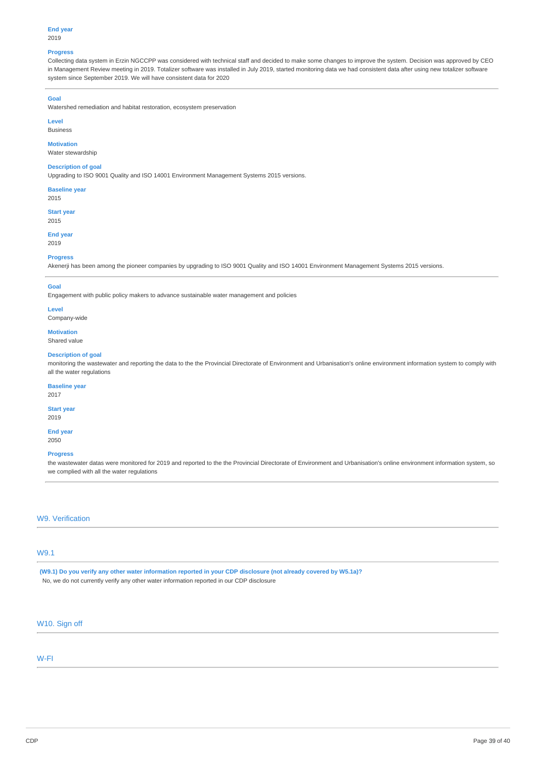#### **Progress**

Collecting data system in Erzin NGCCPP was considered with technical staff and decided to make some changes to improve the system. Decision was approved by CEO in Management Review meeting in 2019. Totalizer software was installed in July 2019, started monitoring data we had consistent data after using new totalizer software system since September 2019. We will have consistent data for 2020

# **Goal**

Watershed remediation and habitat restoration, ecosystem preservation

# **Level**

Business

### **Motivation**

Water stewardship

### **Description of goal**

Upgrading to ISO 9001 Quality and ISO 14001 Environment Management Systems 2015 versions.

**Baseline year** 2015

**Start year**

2015

#### **End year** 2019

**Progress**

Akenerji has been among the pioneer companies by upgrading to ISO 9001 Quality and ISO 14001 Environment Management Systems 2015 versions.

# **Goal**

Engagement with public policy makers to advance sustainable water management and policies

# **Level**

Company-wide

# **Motivation**

Shared value

#### **Description of goal**

monitoring the wastewater and reporting the data to the the Provincial Directorate of Environment and Urbanisation's online environment information system to comply with all the water regulations

#### **Baseline year**

2017

# **Start year**

2019

#### **End year** 2050

#### **Progress**

the wastewater datas were monitored for 2019 and reported to the the Provincial Directorate of Environment and Urbanisation's online environment information system, so we complied with all the water regulations

# W9. Verification

# W9.1

(W9.1) Do you verify any other water information reported in your CDP disclosure (not already covered by W5.1a)? No, we do not currently verify any other water information reported in our CDP disclosure

# W10. Sign off

# W-FI